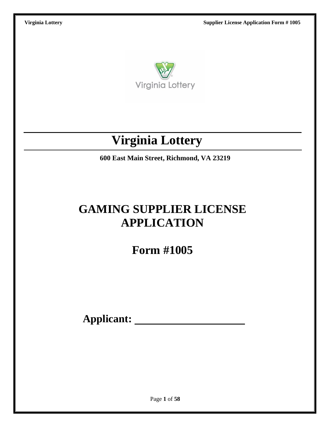

# **Virginia Lottery**

**600 East Main Street, Richmond, VA 23219**

# **GAMING SUPPLIER LICENSE APPLICATION**

**Form #1005**

**Applicant:**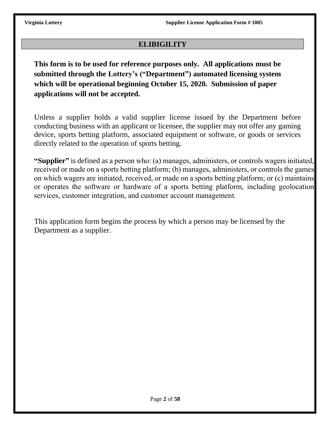## **ELIBIGILITY**

**This form is to be used for reference purposes only. All applications must be submitted through the Lottery's ("Department") automated licensing system which will be operational beginning October 15, 2020. Submission of paper applications will not be accepted.** 

Unless a supplier holds a valid supplier license issued by the Department before conducting business with an applicant or licensee, the supplier may not offer any gaming device, sports betting platform, associated equipment or software, or goods or services directly related to the operation of sports betting.

**"Supplier"** is defined as a person who: (a) manages, administers, or controls wagers initiated, received or made on a sports betting platform; (b) manages, administers, or controls the games on which wagers are initiated, received, or made on a sports betting platform; or (c) maintains or operates the software or hardware of a sports betting platform, including geolocation services, customer integration, and customer account management.

This application form begins the process by which a person may be licensed by the Department as a supplier.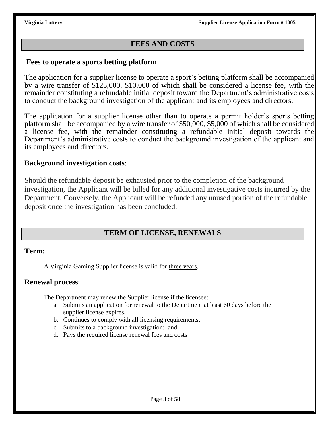## **FEES AND COSTS**

## **Fees to operate a sports betting platform**:

The application for a supplier license to operate a sport's betting platform shall be accompanied by a wire transfer of \$125,000, \$10,000 of which shall be considered a license fee, with the remainder constituting a refundable initial deposit toward the Department's administrative costs to conduct the background investigation of the applicant and its employees and directors.

The application for a supplier license other than to operate a permit holder's sports betting platform shall be accompanied by a wire transfer of \$50,000, \$5,000 of which shall be considered a license fee, with the remainder constituting a refundable initial deposit towards the Department's administrative costs to conduct the background investigation of the applicant and its employees and directors.

## **Background investigation costs**:

Should the refundable deposit be exhausted prior to the completion of the background investigation, the Applicant will be billed for any additional investigative costs incurred by the Department. Conversely, the Applicant will be refunded any unused portion of the refundable deposit once the investigation has been concluded.

## **TERM OF LICENSE, RENEWALS**

### **Term**:

A Virginia Gaming Supplier license is valid for three years.

### **Renewal process**:

The Department may renew the Supplier license if the licensee:

- a. Submits an application for renewal to the Department at least 60 days before the supplier license expires,
- b. Continues to comply with all licensing requirements;
- c. Submits to a background investigation; and
- d. Pays the required license renewal fees and costs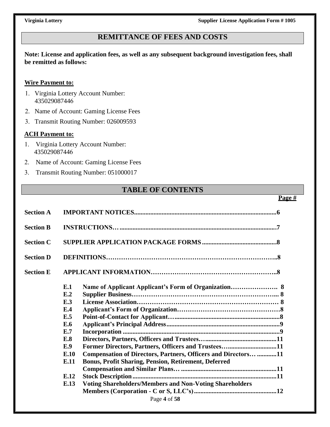## **REMITTANCE OF FEES AND COSTS**

**Note: License and application fees, as well as any subsequent background investigation fees, shall be remitted as follows:**

### **Wire Payment to:**

- 1. Virginia Lottery Account Number: 435029087446
- 2. Name of Account: Gaming License Fees
- 3. Transmit Routing Number: 026009593

### **ACH Payment to:**

- 1. Virginia Lottery Account Number: 435029087446
- 2. Name of Account: Gaming License Fees
- 3. Transmit Routing Number: 051000017

## **TABLE OF CONTENTS**

### **Page #**

| <b>Section A</b> |                                                                                                                                                                                                                                                                                                                                                                       |  |
|------------------|-----------------------------------------------------------------------------------------------------------------------------------------------------------------------------------------------------------------------------------------------------------------------------------------------------------------------------------------------------------------------|--|
| <b>Section B</b> |                                                                                                                                                                                                                                                                                                                                                                       |  |
| <b>Section C</b> |                                                                                                                                                                                                                                                                                                                                                                       |  |
| <b>Section D</b> |                                                                                                                                                                                                                                                                                                                                                                       |  |
| <b>Section E</b> |                                                                                                                                                                                                                                                                                                                                                                       |  |
|                  | E.1<br>E.2<br>E.3<br>E.4<br>E.5<br>E.6<br>E.7<br>E.8<br>Former Directors, Partners, Officers and Trustees11<br>E.9<br>Compensation of Directors, Partners, Officers and Directors 11<br>E.10<br><b>Bonus, Profit Sharing, Pension, Retirement, Deferred</b><br>E.11<br>E.12<br><b>Voting Shareholders/Members and Non-Voting Shareholders</b><br>E.13<br>Page 4 of 58 |  |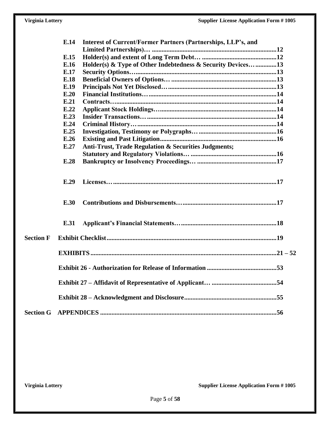|                  | E.14         | <b>Interest of Current/Former Partners (Partnerships, LLP's, and</b> |  |
|------------------|--------------|----------------------------------------------------------------------|--|
|                  |              |                                                                      |  |
|                  | E.15         |                                                                      |  |
|                  | E.16         | Holder(s) & Type of Other Indebtedness & Security Devices13          |  |
|                  | E.17         |                                                                      |  |
|                  | E.18         |                                                                      |  |
|                  | E.19<br>E.20 |                                                                      |  |
|                  | E.21         |                                                                      |  |
|                  |              |                                                                      |  |
|                  | E.22         |                                                                      |  |
|                  | E.23         |                                                                      |  |
|                  | E.24         |                                                                      |  |
|                  | E.25         |                                                                      |  |
|                  | E.26         |                                                                      |  |
|                  | E.27         | Anti-Trust, Trade Regulation & Securities Judgments;                 |  |
|                  |              |                                                                      |  |
|                  | E.28         |                                                                      |  |
|                  | E.29         |                                                                      |  |
|                  | E.30         |                                                                      |  |
|                  | E.31         |                                                                      |  |
| <b>Section F</b> |              |                                                                      |  |
|                  |              |                                                                      |  |
|                  |              |                                                                      |  |
|                  |              |                                                                      |  |
|                  |              |                                                                      |  |
|                  |              |                                                                      |  |
| <b>Section G</b> |              |                                                                      |  |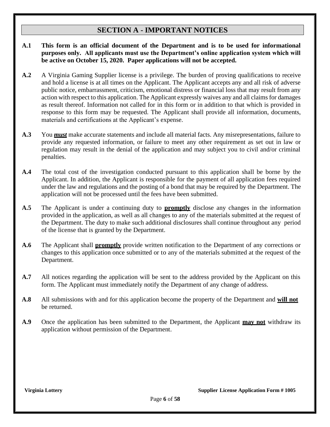## **SECTION A - IMPORTANT NOTICES**

- **A.1 This form is an official document of the Department and is to be used for informational purposes only. All applicants must use the Department's online application system which will be active on October 15, 2020. Paper applications will not be accepted.**
- **A.2** A Virginia Gaming Supplier license is a privilege. The burden of proving qualifications to receive and hold a license is at all times on the Applicant. The Applicant accepts any and all risk of adverse public notice, embarrassment, criticism, emotional distress or financial loss that may result from any action with respect to this application. The Applicant expressly waives any and all claims for damages as result thereof. Information not called for in this form or in addition to that which is provided in response to this form may be requested. The Applicant shall provide all information, documents, materials and certifications at the Applicant's expense.
- **A.3** You *must* make accurate statements and include all material facts. Any misrepresentations, failure to provide any requested information, or failure to meet any other requirement as set out in law or regulation may result in the denial of the application and may subject you to civil and/or criminal penalties.
- **A.4** The total cost of the investigation conducted pursuant to this application shall be borne by the Applicant. In addition, the Applicant is responsible for the payment of all application fees required under the law and regulations and the posting of a bond that may be required by the Department. The application will not be processed until the fees have been submitted.
- **A.5** The Applicant is under a continuing duty to **promptly** disclose any changes in the information provided in the application, as well as all changes to any of the materials submitted at the request of the Department. The duty to make such additional disclosures shall continue throughout any period of the license that is granted by the Department.
- **A.6** The Applicant shall **promptly** provide written notification to the Department of any corrections or changes to this application once submitted or to any of the materials submitted at the request of the Department.
- **A.7** All notices regarding the application will be sent to the address provided by the Applicant on this form. The Applicant must immediately notify the Department of any change of address.
- **A.8** All submissions with and for this application become the property of the Department and **will not** be returned.
- **A.9** Once the application has been submitted to the Department, the Applicant **may not** withdraw its application without permission of the Department.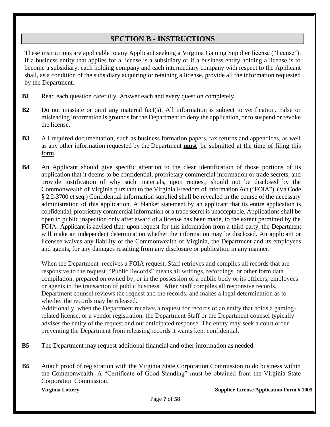## **SECTION B - INSTRUCTIONS**

These instructions are applicable to any Applicant seeking a Virginia Gaming Supplier license ("license"). If a business entity that applies for a license is a subsidiary or if a business entity holding a license is to become a subsidiary, each holding company and each intermediary company with respect to the Applicant shall, as a condition of the subsidiary acquiring or retaining a license, provide all the information requested by the Department.

- **B.1** Read each question carefully. Answer each and every question completely.
- **B.2** Do not misstate or omit any material fact(s). All information is subject to verification. False or misleading information is grounds for the Department to deny the application, or to suspend or revoke the license.
- **B.3** All required documentation, such as business formation papers, tax returns and appendices, as well as any other information requested by the Department **must** be submitted at the time of filing this form.
- **B.4** An Applicant should give specific attention to the clear identification of those portions of its application that it deems to be confidential, proprietary commercial information or trade secrets, and provide justification of why such materials, upon request, should not be disclosed by the Commonwealth of Virginia pursuant to the Virginia Freedom of Information Act ("FOIA"), (Va Code § 2.2-3700 et seq.) Confidential information supplied shall be revealed in the course of the necessary administration of this application. A blanket statement by an applicant that its entire application is confidential, proprietary commercial information or a trade secret is unacceptable. Applications shall be open to public inspection only after award of a license has been made, to the extent permitted by the FOIA. Applicant is advised that, upon request for this information from a third party, the Department will make an independent determination whether the information may be disclosed. An applicant or licensee waives any liability of the Commonwealth of Virginia, the Department and its employees and agents, for any damages resulting from any disclosure or publication in any manner.

When the Department receives a FOIA request, Staff retrieves and compiles all records that are responsive to the request. "Public Records" means all writings, recordings, or other form data compilation, prepared on owned by, or in the possession of a public body or its officers, employees or agents in the transaction of public business. After Staff compiles all responsive records, Department counsel reviews the request and the records, and makes a legal determination as to whether the records may be released.

Additionally, when the Department receives a request for records of an entity that holds a gamingrelated license, or a vendor registration, the Department Staff or the Department counsel typically advises the entity of the request and our anticipated response. The entity may seek a court order preventing the Department from releasing records it wants kept confidential.

- **B.5** The Department may request additional financial and other information as needed.
- **B.6** Attach proof of registration with the Virginia State Corporation Commission to do business within the Commonwealth. A "Certificate of Good Standing" must be obtained from the Virginia State Corporation Commission.

**Virginia Lottery Supplier License Application Form # 1005**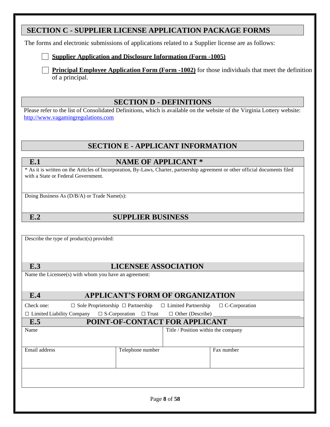|                                                                                  | <b>SECTION C - SUPPLIER LICENSE APPLICATION PACKAGE FORMS</b>                                                                  |
|----------------------------------------------------------------------------------|--------------------------------------------------------------------------------------------------------------------------------|
|                                                                                  | The forms and electronic submissions of applications related to a Supplier license are as follows:                             |
|                                                                                  | <b>Supplier Application and Disclosure Information (Form -1005)</b>                                                            |
| of a principal.                                                                  | <b>Principal Employee Application Form (Form -1002)</b> for those individuals that meet the definition                         |
|                                                                                  | <b>SECTION D - DEFINITIONS</b>                                                                                                 |
| http://www.vagamingregulations.com                                               | Please refer to the list of Consolidated Definitions, which is available on the website of the Virginia Lottery website:       |
|                                                                                  | <b>SECTION E - APPLICANT INFORMATION</b>                                                                                       |
| E.1                                                                              | <b>NAME OF APPLICANT *</b>                                                                                                     |
| with a State or Federal Government.                                              | * As it is written on the Articles of Incorporation, By-Laws, Charter, partnership agreement or other official documents filed |
| Doing Business As (D/B/A) or Trade Name(s):                                      |                                                                                                                                |
| E.2                                                                              | <b>SUPPLIER BUSINESS</b>                                                                                                       |
|                                                                                  |                                                                                                                                |
|                                                                                  |                                                                                                                                |
|                                                                                  |                                                                                                                                |
|                                                                                  |                                                                                                                                |
| E.3                                                                              | <b>LICENSEE ASSOCIATION</b><br>Name the Licensee(s) with whom you have an agreement:                                           |
|                                                                                  |                                                                                                                                |
| E.4                                                                              | <b>APPLICANT'S FORM OF ORGANIZATION</b>                                                                                        |
|                                                                                  | $\Box$ Sole Proprietorship $\Box$ Partnership<br>$\Box$ Limited Partnership<br>$\Box$ C-Corporation                            |
|                                                                                  | $\Box$ S-Corporation<br>$\Box$ Other (Describe) $\Box$<br>$\Box$ Trust                                                         |
| $\Box$ Limited Liability Company<br>E.5                                          | POINT-OF-CONTACT FOR APPLICANT                                                                                                 |
|                                                                                  | Title / Position within the company                                                                                            |
| Describe the type of product(s) provided:<br>Check one:<br>Name<br>Email address | Telephone number<br>Fax number                                                                                                 |
|                                                                                  |                                                                                                                                |
|                                                                                  |                                                                                                                                |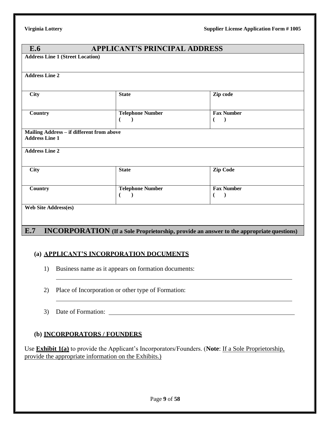| E.6                                       | <b>APPLICANT'S PRINCIPAL ADDRESS</b> |                                                                                                 |  |
|-------------------------------------------|--------------------------------------|-------------------------------------------------------------------------------------------------|--|
| <b>Address Line 1 (Street Location)</b>   |                                      |                                                                                                 |  |
|                                           |                                      |                                                                                                 |  |
| <b>Address Line 2</b>                     |                                      |                                                                                                 |  |
|                                           |                                      |                                                                                                 |  |
| <b>City</b>                               | <b>State</b>                         | Zip code                                                                                        |  |
|                                           |                                      |                                                                                                 |  |
| Country                                   | <b>Telephone Number</b>              | <b>Fax Number</b>                                                                               |  |
|                                           | €                                    | $\lambda$<br>$\overline{ }$                                                                     |  |
| Mailing Address - if different from above |                                      |                                                                                                 |  |
| <b>Address Line 1</b>                     |                                      |                                                                                                 |  |
| <b>Address Line 2</b>                     |                                      |                                                                                                 |  |
|                                           |                                      |                                                                                                 |  |
| <b>City</b>                               | <b>State</b>                         | <b>Zip Code</b>                                                                                 |  |
|                                           |                                      |                                                                                                 |  |
| Country                                   | <b>Telephone Number</b>              | <b>Fax Number</b>                                                                               |  |
|                                           | €<br>$\rightarrow$                   | $\lambda$<br>$\left($                                                                           |  |
| <b>Web Site Address(es)</b>               |                                      |                                                                                                 |  |
|                                           |                                      |                                                                                                 |  |
|                                           |                                      |                                                                                                 |  |
| E.7                                       |                                      | <b>INCORPORATION</b> (If a Sole Proprietorship, provide an answer to the appropriate questions) |  |

### **(a) APPLICANT'S INCORPORATION DOCUMENTS**

- 1) Business name as it appears on formation documents:
- 2) Place of Incorporation or other type of Formation:
- 3) Date of Formation:

### **(b) INCORPORATORS / FOUNDERS**

Use **Exhibit 1(a)** to provide the Applicant's Incorporators/Founders. (**Note**: If a Sole Proprietorship, provide the appropriate information on the Exhibits.)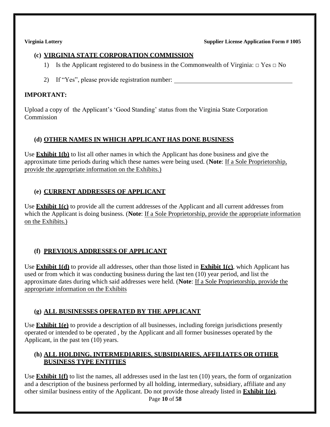### **(c) VIRGINIA STATE CORPORATION COMMISSION**

- 1) Is the Applicant registered to do business in the Commonwealth of Virginia:  $\Box$  Yes  $\Box$  No
- 2) If "Yes", please provide registration number:

### **IMPORTANT:**

Upload a copy of the Applicant's 'Good Standing' status from the Virginia State Corporation Commission

## **(d) OTHER NAMES IN WHICH APPLICANT HAS DONE BUSINESS**

Use **Exhibit 1(b)** to list all other names in which the Applicant has done business and give the approximate time periods during which these names were being used. (**Note**: If a Sole Proprietorship, provide the appropriate information on the Exhibits.)

## **(e) CURRENT ADDRESSES OF APPLICANT**

Use **Exhibit 1(c)** to provide all the current addresses of the Applicant and all current addresses from which the Applicant is doing business. (**Note**: If a Sole Proprietorship, provide the appropriate information on the Exhibits.)

## **(f) PREVIOUS ADDRESSES OF APPLICANT**

Use **Exhibit 1(d)** to provide all addresses, other than those listed in **Exhibit 1(c)**, which Applicant has used or from which it was conducting business during the last ten (10) year period, and list the approximate dates during which said addresses were held. (**Note**: If a Sole Proprietorship, provide the appropriate information on the Exhibits

### **(g) ALL BUSINESSES OPERATED BY THE APPLICANT**

Use **Exhibit 1(e)** to provide a description of all businesses, including foreign jurisdictions presently operated or intended to be operated , by the Applicant and all former businesses operated by the Applicant, in the past ten (10) years.

### **(h) ALL HOLDING, INTERMEDIARIES, SUBSIDIARIES, AFFILIATES OR OTHER BUSINESS TYPE ENTITIES**

Use **Exhibit 1(f)** to list the names, all addresses used in the last ten (10) years, the form of organization and a description of the business performed by all holding, intermediary, subsidiary, affiliate and any other similar business entity of the Applicant. Do not provide those already listed in **Exhibit 1(e)**.

Page **10** of **58**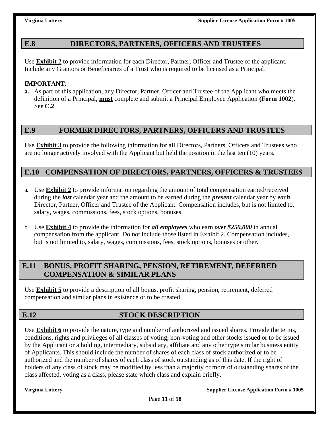## **E.8 DIRECTORS, PARTNERS, OFFICERS AND TRUSTEES**

Use **Exhibit 2** to provide information for each Director, Partner, Officer and Trustee of the applicant. Include any Grantors or Beneficiaries of a Trust who is required to be licensed as a Principal.

### **IMPORTANT**:

**a.** As part of this application, any Director, Partner, Officer and Trustee of the Applicant who meets the definition of a Principal, **must** complete and submit a Principal Employee Application **(Form 1002**). See **C.2**

## **E.9 FORMER DIRECTORS, PARTNERS, OFFICERS AND TRUSTEES**

Use **Exhibit 3** to provide the following information for all Directors, Partners, Officers and Trustees who are no longer actively involved with the Applicant but held the position in the last ten (10) years.

## **E.10 COMPENSATION OF DIRECTORS, PARTNERS, OFFICERS & TRUSTEES**

- a. Use **Exhibit 2** to provide information regarding the amount of total compensation earned/received during the *last* calendar year and the amount to be earned during the *present* calendar year by *each*  Director, Partner, Officer and Trustee of the Applicant. Compensation includes, but is not limited to, salary, wages, commissions, fees, stock options, bonuses.
- b. Use **Exhibit 4** to provide the information for *all employees* who earn *over \$250,000* in annual compensation from the applicant. Do not include those listed in Exhibit 2. Compensation includes, but is not limited to, salary, wages, commissions, fees, stock options, bonuses or other.

## **E.11 BONUS, PROFIT SHARING, PENSION, RETIREMENT, DEFERRED COMPENSATION & SIMILAR PLANS**

Use **Exhibit 5** to provide a description of all bonus, profit sharing, pension, retirement, deferred compensation and similar plans in existence or to be created.

## **E.12 STOCK DESCRIPTION**

Use **Exhibit 6** to provide the nature, type and number of authorized and issued shares. Provide the terms, conditions, rights and privileges of all classes of voting, non-voting and other stocks issued or to be issued by the Applicant or a holding, intermediary, subsidiary, affiliate and any other type similar business entity of Applicants. This should include the number of shares of each class of stock authorized or to be authorized and the number of shares of each class of stock outstanding as of this date. If the right of holders of any class of stock may be modified by less than a majority or more of outstanding shares of the class affected, voting as a class, please state which class and explain briefly.

**Virginia Lottery Supplier License Application Form # 1005**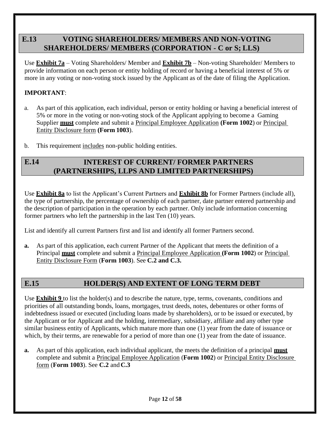## **E.13 VOTING SHAREHOLDERS/ MEMBERS AND NON-VOTING SHAREHOLDERS/ MEMBERS (CORPORATION - C or S; LLS)**

Use **Exhibit 7a** – Voting Shareholders/ Member and **Exhibit 7b** – Non-voting Shareholder/ Members to provide information on each person or entity holding of record or having a beneficial interest of 5% or more in any voting or non-voting stock issued by the Applicant as of the date of filing the Application.

## **IMPORTANT**:

- a. As part of this application, each individual, person or entity holding or having a beneficial interest of 5% or more in the voting or non-voting stock of the Applicant applying to become a Gaming Supplier **must** complete and submit a Principal Employee Application **(Form 1002**) or Principal Entity Disclosure form **(Form 1003**).
- b. This requirement includes non-public holding entities.

### **INTEREST OF CURRENT/ FORMER PARTNERS (PARTNERSHIPS, LLPS AND LIMITED PARTNERSHIPS) E.14**

Use **Exhibit 8a** to list the Applicant's Current Partners and **Exhibit 8b** for Former Partners (include all), the type of partnership, the percentage of ownership of each partner, date partner entered partnership and the description of participation in the operation by each partner. Only include information concerning former partners who left the partnership in the last Ten (10) years.

List and identify all current Partners first and list and identify all former Partners second.

**a.** As part of this application, each current Partner of the Applicant that meets the definition of a Principal **must** complete and submit a Principal Employee Application **(Form 1002**) or Principal Entity Disclosure Form (**Form 1003**). See **C.2 and C.3.**

## **E.15 HOLDER(S) AND EXTENT OF LONG TERM DEBT**

Use **Exhibit 9** to list the holder(s) and to describe the nature, type, terms, covenants, conditions and priorities of all outstanding bonds, loans, mortgages, trust deeds, notes, debentures or other forms of indebtedness issued or executed (including loans made by shareholders), or to be issued or executed, by the Applicant or for Applicant and the holding, intermediary, subsidiary, affiliate and any other type similar business entity of Applicants, which mature more than one (1) year from the date of issuance or which, by their terms, are renewable for a period of more than one (1) year from the date of issuance.

**a.** As part of this application, each individual applicant, the meets the definition of a principal **must** complete and submit a Principal Employee Application (**Form 1002**) or Principal Entity Disclosure form (**Form 1003**). See **C.2** and **C.3**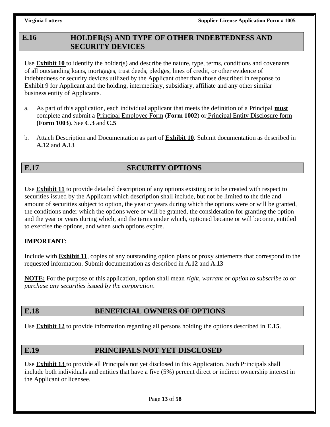### **HOLDER(S) AND TYPE OF OTHER INDEBTEDNESS AND SECURITY DEVICES E.16**

Use **Exhibit 10** to identify the holder(s) and describe the nature, type, terms, conditions and covenants of all outstanding loans, mortgages, trust deeds, pledges, lines of credit, or other evidence of indebtedness or security devices utilized by the Applicant other than those described in response to Exhibit 9 for Applicant and the holding, intermediary, subsidiary, affiliate and any other similar business entity of Applicants.

- a. As part of this application, each individual applicant that meets the definition of a Principal **must** complete and submit a Principal Employee Form (**Form 1002**) or Principal Entity Disclosure form **(Form 1003**). See **C.3** and **C.5**
- b. Attach Description and Documentation as part of **Exhibit 10**. Submit documentation as described in **A.12** and **A.13**

## **E.17 SECURITY OPTIONS**

Use **Exhibit 11** to provide detailed description of any options existing or to be created with respect to securities issued by the Applicant which description shall include, but not be limited to the title and amount of securities subject to option, the year or years during which the options were or will be granted, the conditions under which the options were or will be granted, the consideration for granting the option and the year or years during which, and the terms under which, optioned became or will become, entitled to exercise the options, and when such options expire.

### **IMPORTANT**:

Include with **Exhibit 11**, copies of any outstanding option plans or proxy statements that correspond to the requested information. Submit documentation as described in **A.12** and **A.13**

**NOTE:** For the purpose of this application, option shall mean *right, warrant or option to subscribe to or purchase any securities issued by the corporation*.

## **E.18 BENEFICIAL OWNERS OF OPTIONS**

Use **Exhibit 12** to provide information regarding all persons holding the options described in **E.15**.

## **E.19 PRINCIPALS NOT YET DISCLOSED**

Use **Exhibit 13** to provide all Principals not yet disclosed in this Application. Such Principals shall include both individuals and entities that have a five (5%) percent direct or indirect ownership interest in the Applicant or licensee.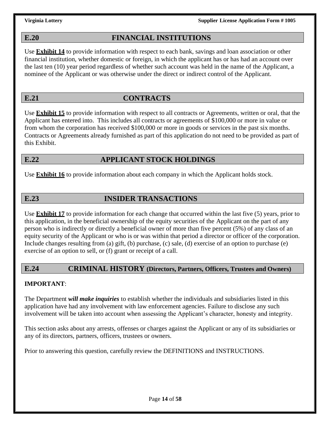## **E.20 FINANCIAL INSTITUTIONS**

Use **Exhibit 14** to provide information with respect to each bank, savings and loan association or other financial institution, whether domestic or foreign, in which the applicant has or has had an account over the last ten (10) year period regardless of whether such account was held in the name of the Applicant, a nominee of the Applicant or was otherwise under the direct or indirect control of the Applicant.

## **E.21 CONTRACTS**

Use **Exhibit 15** to provide information with respect to all contracts or Agreements, written or oral, that the Applicant has entered into. This includes all contracts or agreements of \$100,000 or more in value or from whom the corporation has received \$100,000 or more in goods or services in the past six months. Contracts or Agreements already furnished as part of this application do not need to be provided as part of this Exhibit.

### **E.22 APPLICANT STOCK HOLDINGS**

Use **Exhibit 16** to provide information about each company in which the Applicant holds stock.

## **E.23 INSIDER TRANSACTIONS**

Use **Exhibit 17** to provide information for each change that occurred within the last five (5) years, prior to this application, in the beneficial ownership of the equity securities of the Applicant on the part of any person who is indirectly or directly a beneficial owner of more than five percent (5%) of any class of an equity security of the Applicant or who is or was within that period a director or officer of the corporation. Include changes resulting from (a) gift, (b) purchase, (c) sale, (d) exercise of an option to purchase (e) exercise of an option to sell, or (f) grant or receipt of a call.

### **E.24 CRIMINAL HISTORY (Directors, Partners, Officers, Trustees and Owners)**

### **IMPORTANT**:

The Department *will make inquiries* to establish whether the individuals and subsidiaries listed in this application have had any involvement with law enforcement agencies. Failure to disclose any such involvement will be taken into account when assessing the Applicant's character, honesty and integrity.

This section asks about any arrests, offenses or charges against the Applicant or any of its subsidiaries or any of its directors, partners, officers, trustees or owners.

Prior to answering this question, carefully review the DEFINITIONS and INSTRUCTIONS.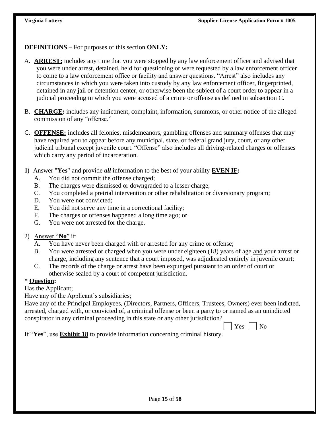**DEFINITIONS –** For purposes of this section **ONLY:**

- A. **ARREST:** includes any time that you were stopped by any law enforcement officer and advised that you were under arrest, detained, held for questioning or were requested by a law enforcement officer to come to a law enforcement office or facility and answer questions. "Arrest" also includes any circumstances in which you were taken into custody by any law enforcement officer, fingerprinted, detained in any jail or detention center, or otherwise been the subject of a court order to appear in a judicial proceeding in which you were accused of a crime or offense as defined in subsection C.
- B. **CHARGE:** includes any indictment, complaint, information, summons, or other notice of the alleged commission of any "offense."
- C. **OFFENSE:** includes all felonies, misdemeanors, gambling offenses and summary offenses that may have required you to appear before any municipal, state, or federal grand jury, court, or any other judicial tribunal except juvenile court. "Offense" also includes all driving-related charges or offenses which carry any period of incarceration.
- **1)** Answer "**Yes**" and provide *all* information to the best of your ability **EVEN IF:**
	- A. You did not commit the offense charged;
	- B. The charges were dismissed or downgraded to a lesser charge;
	- C. You completed a pretrial intervention or other rehabilitation or diversionary program;
	- D. You were not convicted:
	- E. You did not serve any time in a correctional facility;
	- F. The charges or offenses happened a long time ago; or
	- G. You were not arrested for the charge.
- 2) Answer "**No**" if:
	- A. You have never been charged with or arrested for any crime or offense;
	- B. You were arrested or charged when you were under eighteen (18) years of age and your arrest or charge, including any sentence that a court imposed, was adjudicated entirely in juvenile court;
	- C. The records of the charge or arrest have been expunged pursuant to an order of court or otherwise sealed by a court of competent jurisdiction.

### **\* Question:**

Has the Applicant;

Have any of the Applicant's subsidiaries;

Have any of the Principal Employees, (Directors, Partners, Officers, Trustees, Owners) ever been indicted, arrested, charged with, or convicted of, a criminal offense or been a party to or named as an unindicted conspirator in any criminal proceeding in this state or any other jurisdiction?

 $Yes \mid \mid No$ 

If "**Yes**", use **Exhibit 18** to provide information concerning criminal history.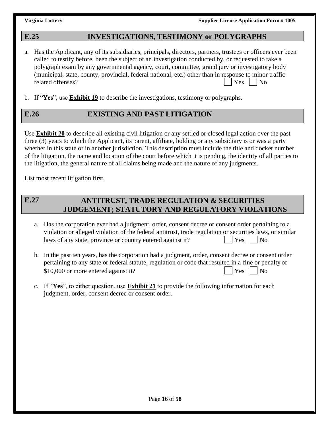### **E.25 INVESTIGATIONS, TESTIMONY or POLYGRAPHS**

- a. Has the Applicant, any of its subsidiaries, principals, directors, partners, trustees or officers ever been called to testify before, been the subject of an investigation conducted by, or requested to take a polygraph exam by any governmental agency, court, committee, grand jury or investigatory body (municipal, state, county, provincial, federal national, etc.) other than in response to minor traffic related offenses?  $|$   $|$   $\gamma$ es  $|$   $|$   $\gamma$ o
- b. If "**Yes**", use **Exhibit 19** to describe the investigations, testimony or polygraphs.

## **E.26 EXISTING AND PAST LITIGATION**

Use **Exhibit 20** to describe all existing civil litigation or any settled or closed legal action over the past three (3) years to which the Applicant, its parent, affiliate, holding or any subsidiary is or was a party whether in this state or in another jurisdiction. This description must include the title and docket number of the litigation, the name and location of the court before which it is pending, the identity of all parties to the litigation, the general nature of all claims being made and the nature of any judgments.

List most recent litigation first.

### **ANTITRUST, TRADE REGULATION & SECURITIES JUDGEMENT; STATUTORY AND REGULATORY VIOLATIONS E.27**

- a. Has the corporation ever had a judgment, order, consent decree or consent order pertaining to a violation or alleged violation of the federal antitrust, trade regulation or securities laws, or similar laws of any state, province or country entered against it? Yes No
- b. In the past ten years, has the corporation had a judgment, order, consent decree or consent order pertaining to any state or federal statute, regulation or code that resulted in a fine or penalty of  $$10,000$  or more entered against it?  $|$  Yes  $|$  No
- c. If "**Yes**", to either question, use **Exhibit 21** to provide the following information for each judgment, order, consent decree or consent order.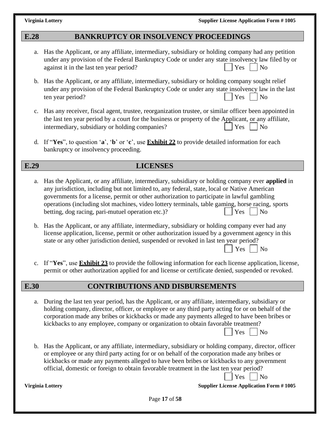### **E.28 BANKRUPTCY OR INSOLVENCY PROCEEDINGS**

- a. Has the Applicant, or any affiliate, intermediary, subsidiary or holding company had any petition under any provision of the Federal Bankruptcy Code or under any state insolvency law filed by or against it in the last ten year period?  $|\gamma_{\text{es}}|$  No
- b. Has the Applicant, or any affiliate, intermediary, subsidiary or holding company sought relief under any provision of the Federal Bankruptcy Code or under any state insolvency law in the last ten year period?  $|$   $\gamma$ es  $|$   $\gamma$ o
- c. Has any receiver, fiscal agent, trustee, reorganization trustee, or similar officer been appointed in the last ten year period by a court for the business or property of the Applicant, or any affiliate, intermediary, subsidiary or holding companies?  $|\begin{array}{c|c} | \text{Yes} \\ \end{array}|$  No
- d. If "**Yes**", to question '**a**', '**b**' or '**c**', use **Exhibit 22** to provide detailed information for each bankruptcy or insolvency proceeding.

### **E.29 LICENSES**

- a. Has the Applicant, or any affiliate, intermediary, subsidiary or holding company ever **applied** in any jurisdiction, including but not limited to, any federal, state, local or Native American governments for a license, permit or other authorization to participate in lawful gambling operations (including slot machines, video lottery terminals, table gaming, horse racing, sports betting, dog racing, pari-mutuel operation etc.)? Yes No
- b. Has the Applicant, or any affiliate, intermediary, subsidiary or holding company ever had any license application, license, permit or other authorization issued by a government agency in this state or any other jurisdiction denied, suspended or revoked in last ten year period?  $Yes \mid \mid No$
- c. If "**Yes**", use **Exhibit 23** to provide the following information for each license application, license, permit or other authorization applied for and license or certificate denied, suspended or revoked.

### **E.30 CONTRIBUTIONS AND DISBURSEMENTS**

- a. During the last ten year period, has the Applicant, or any affiliate, intermediary, subsidiary or holding company, director, officer, or employee or any third party acting for or on behalf of the corporation made any bribes or kickbacks or made any payments alleged to have been bribes or kickbacks to any employee, company or organization to obtain favorable treatment?
- b. Has the Applicant, or any affiliate, intermediary, subsidiary or holding company, director, officer or employee or any third party acting for or on behalf of the corporation made any bribes or kickbacks or made any payments alleged to have been bribes or kickbacks to any government official, domestic or foreign to obtain favorable treatment in the last ten year period?

 $Yes \mid \text{No}$ 

 $Yes \mid \text{No}$ 

**Virginia Lottery Supplier License Application Form # 1005**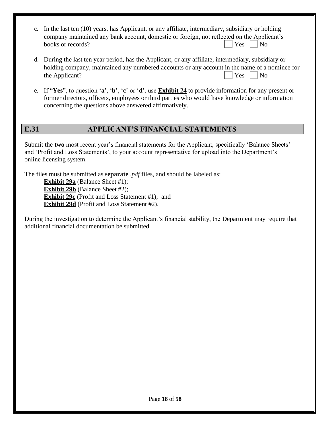| c. In the last ten (10) years, has Applicant, or any affiliate, intermediary, subsidiary or holding |                      |  |  |
|-----------------------------------------------------------------------------------------------------|----------------------|--|--|
| company maintained any bank account, domestic or foreign, not reflected on the Applicant's          |                      |  |  |
| books or records?                                                                                   | $\Box$ Yes $\Box$ No |  |  |

- d. During the last ten year period, has the Applicant, or any affiliate, intermediary, subsidiary or holding company, maintained any numbered accounts or any account in the name of a nominee for the Applicant?  $|$   $\gamma$ es  $|$   $\gamma$ es  $|$   $\gamma$ es  $|$   $\gamma$ es  $|$   $\gamma$ es  $|$
- e. If "**Yes**", to question '**a**', '**b**', '**c**' or '**d**', use **Exhibit 24** to provide information for any present or former directors, officers, employees or third parties who would have knowledge or information concerning the questions above answered affirmatively.

## **E.31 APPLICANT'S FINANCIAL STATEMENTS**

Submit the **two** most recent year's financial statements for the Applicant, specifically 'Balance Sheets' and 'Profit and Loss Statements', to your account representative for upload into the Department's online licensing system.

The files must be submitted as **separate** .*pdf* files, and should be labeled as:

**Exhibit 29a** (Balance Sheet #1); **Exhibit 29b** (Balance Sheet #2); **Exhibit 29c** (Profit and Loss Statement #1); and **Exhibit 29d** (Profit and Loss Statement #2).

During the investigation to determine the Applicant's financial stability, the Department may require that additional financial documentation be submitted.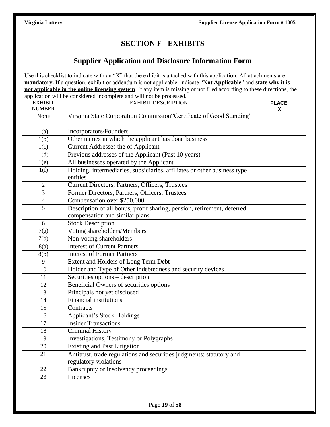## **SECTION F - EXHIBITS**

## **Supplier Application and Disclosure Information Form**

Use this checklist to indicate with an "X" that the exhibit is attached with this application. All attachments are **mandatory.** If a question, exhibit or addendum is not applicable, indicate "**Not Applicable**" and **state why it is not applicable in the online licensing system**. If any item is missing or not filed according to these directions, the application will be considered incomplete and will not be processed.

| <b>EXHIBIT</b><br><b>NUMBER</b> | <b>EXHIBIT DESCRIPTION</b>                                                                                | <b>PLACE</b><br>X |
|---------------------------------|-----------------------------------------------------------------------------------------------------------|-------------------|
| None                            | Virginia State Corporation Commission"Certificate of Good Standing"                                       |                   |
|                                 |                                                                                                           |                   |
| 1(a)                            | Incorporators/Founders                                                                                    |                   |
| 1(b)                            | Other names in which the applicant has done business                                                      |                   |
| 1(c)                            | Current Addresses the of Applicant                                                                        |                   |
| 1(d)                            | Previous addresses of the Applicant (Past 10 years)                                                       |                   |
| 1(e)                            | All businesses operated by the Applicant                                                                  |                   |
| 1(f)                            | Holding, intermediaries, subsidiaries, affiliates or other business type<br>entities                      |                   |
| $\mathfrak{2}$                  | Current Directors, Partners, Officers, Trustees                                                           |                   |
| 3                               | Former Directors, Partners, Officers, Trustees                                                            |                   |
| $\overline{\mathcal{A}}$        | Compensation over \$250,000                                                                               |                   |
| 5                               | Description of all bonus, profit sharing, pension, retirement, deferred<br>compensation and similar plans |                   |
| 6                               | <b>Stock Description</b>                                                                                  |                   |
| 7(a)                            | Voting shareholders/Members                                                                               |                   |
| 7(b)                            | Non-voting shareholders                                                                                   |                   |
| 8(a)                            | <b>Interest of Current Partners</b>                                                                       |                   |
| 8(b)                            | <b>Interest of Former Partners</b>                                                                        |                   |
| 9                               | Extent and Holders of Long Term Debt                                                                      |                   |
| 10                              | Holder and Type of Other indebtedness and security devices                                                |                   |
| 11                              | Securities options - description                                                                          |                   |
| 12                              | Beneficial Owners of securities options                                                                   |                   |
| 13                              | Principals not yet disclosed                                                                              |                   |
| 14                              | <b>Financial institutions</b>                                                                             |                   |
| 15                              | Contracts                                                                                                 |                   |
| 16                              | <b>Applicant's Stock Holdings</b>                                                                         |                   |
| 17                              | <b>Insider Transactions</b>                                                                               |                   |
| 18                              | <b>Criminal History</b>                                                                                   |                   |
| 19                              | Investigations, Testimony or Polygraphs                                                                   |                   |
| 20                              | <b>Existing and Past Litigation</b>                                                                       |                   |
| 21                              | Antitrust, trade regulations and securities judgments; statutory and<br>regulatory violations             |                   |
| 22                              | Bankruptcy or insolvency proceedings                                                                      |                   |
| 23                              | Licenses                                                                                                  |                   |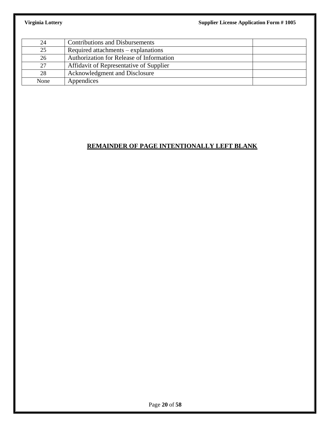| 24   | <b>Contributions and Disbursements</b>   |
|------|------------------------------------------|
| 25   | Required attachments $-$ explanations    |
| 26   | Authorization for Release of Information |
| 27   | Affidavit of Representative of Supplier  |
| 28   | Acknowledgment and Disclosure            |
| None | Appendices                               |

## **REMAINDER OF PAGE INTENTIONALLY LEFT BLANK**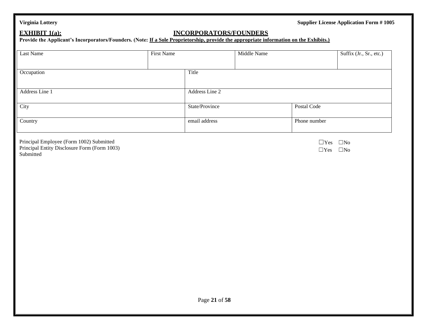### **EXHIBIT 1(a): INCORPORATORS/FOUNDERS**

Provide the Applicant's Incorporators/Founders. (Note: **If a Sole Proprietorship, provide the appropriate information on the Exhibits.**)

| Last Name      | First Name |                | Middle Name |              | Suffix (Jr., Sr., etc.) |
|----------------|------------|----------------|-------------|--------------|-------------------------|
| Occupation     |            | Title          |             |              |                         |
| Address Line 1 |            | Address Line 2 |             |              |                         |
| City           |            | State/Province |             | Postal Code  |                         |
| Country        |            | email address  |             | Phone number |                         |

Principal Employee (Form 1002) Submitted Principal Entity Disclosure Form (Form 1003) Submitted

☐Yes ☐No ☐Yes ☐No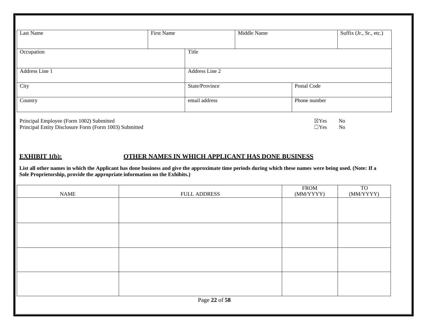| Last Name                                                                                                                                                                                                                               | <b>First Name</b>                                | Middle Name    |                               | Suffix (Jr., Sr., etc.)      |
|-----------------------------------------------------------------------------------------------------------------------------------------------------------------------------------------------------------------------------------------|--------------------------------------------------|----------------|-------------------------------|------------------------------|
|                                                                                                                                                                                                                                         |                                                  |                |                               |                              |
| Occupation                                                                                                                                                                                                                              | Title                                            |                |                               |                              |
|                                                                                                                                                                                                                                         |                                                  |                |                               |                              |
| Address Line 1                                                                                                                                                                                                                          |                                                  | Address Line 2 |                               |                              |
| City                                                                                                                                                                                                                                    |                                                  | State/Province | Postal Code                   |                              |
| Country                                                                                                                                                                                                                                 | email address                                    |                | Phone number                  |                              |
| Principal Employee (Form 1002) Submitted<br>Principal Entity Disclosure Form (Form 1003) Submitted                                                                                                                                      |                                                  |                | $\boxtimes$ Yes<br>$\Box$ Yes | N <sub>o</sub><br>No         |
|                                                                                                                                                                                                                                         |                                                  |                |                               |                              |
|                                                                                                                                                                                                                                         |                                                  |                |                               |                              |
| <b>EXHIBIT 1(b):</b>                                                                                                                                                                                                                    | OTHER NAMES IN WHICH APPLICANT HAS DONE BUSINESS |                |                               |                              |
| List all other names in which the Applicant has done business and give the approximate time periods during which these names were being used. (Note: If a<br>Sole Proprietorship, provide the appropriate information on the Exhibits.) |                                                  |                |                               |                              |
| <b>NAME</b>                                                                                                                                                                                                                             | <b>FULL ADDRESS</b>                              |                | <b>FROM</b><br>(MM/YYYY)      | TO <sub>1</sub><br>(MM/YYYY) |
|                                                                                                                                                                                                                                         |                                                  |                |                               |                              |
|                                                                                                                                                                                                                                         |                                                  |                |                               |                              |
|                                                                                                                                                                                                                                         |                                                  |                |                               |                              |
|                                                                                                                                                                                                                                         |                                                  |                |                               |                              |
|                                                                                                                                                                                                                                         |                                                  |                |                               |                              |
|                                                                                                                                                                                                                                         |                                                  |                |                               |                              |
|                                                                                                                                                                                                                                         |                                                  |                |                               |                              |
|                                                                                                                                                                                                                                         |                                                  |                |                               |                              |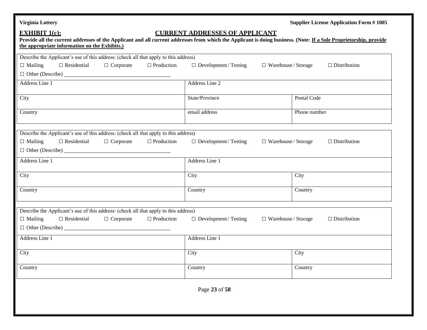| <b>Virginia Lottery</b>                                                                                                                                                                                                                    |                                                   |                            | <b>Supplier License Application Form #1005</b> |
|--------------------------------------------------------------------------------------------------------------------------------------------------------------------------------------------------------------------------------------------|---------------------------------------------------|----------------------------|------------------------------------------------|
| <b>EXHIBIT 1(c):</b><br>Provide all the current addresses of the Applicant and all current addresses from which the Applicant is doing business. (Note: If a Sole Proprietorship, provide<br>the appropriate information on the Exhibits.) | <b>CURRENT ADDRESSES OF APPLICANT</b>             |                            |                                                |
| Describe the Applicant's use of this address: (check all that apply to this address)                                                                                                                                                       |                                                   |                            |                                                |
| $\Box$ Residential<br>$\Box$ Corporate<br>$\Box$ Mailing                                                                                                                                                                                   | $\Box$ Production<br>$\Box$ Development / Testing | $\Box$ Warehouse / Storage | $\Box$ Distribution                            |
| $\Box$ Other (Describe) $\Box$                                                                                                                                                                                                             |                                                   |                            |                                                |
| Address Line 1                                                                                                                                                                                                                             | Address Line 2                                    |                            |                                                |
| City                                                                                                                                                                                                                                       | State/Province                                    | Postal Code                |                                                |
| Country                                                                                                                                                                                                                                    | email address                                     | Phone number               |                                                |
| Describe the Applicant's use of this address: (check all that apply to this address)                                                                                                                                                       |                                                   |                            |                                                |
| $\Box$ Residential<br>$\Box$ Mailing<br>$\Box$ Corporate                                                                                                                                                                                   | $\Box$ Production<br>$\Box$ Development / Testing | $\Box$ Warehouse / Storage | $\Box$ Distribution                            |
| $\Box$ Other (Describe) $\Box$                                                                                                                                                                                                             |                                                   |                            |                                                |
| Address Line 1                                                                                                                                                                                                                             | Address Line 1                                    |                            |                                                |
| City                                                                                                                                                                                                                                       | City                                              | City                       |                                                |
| Country                                                                                                                                                                                                                                    | Country                                           | Country                    |                                                |
| Describe the Applicant's use of this address: (check all that apply to this address)                                                                                                                                                       |                                                   |                            |                                                |
| $\Box$ Residential<br>$\Box$ Mailing<br>$\Box$ Corporate<br>$\Box$ Other (Describe) $\Box$                                                                                                                                                 | $\Box$ Production<br>$\Box$ Development / Testing | $\Box$ Warehouse / Storage | $\Box$ Distribution                            |
| Address Line 1                                                                                                                                                                                                                             | Address Line 1                                    |                            |                                                |
| City                                                                                                                                                                                                                                       | City                                              | City                       |                                                |
| Country                                                                                                                                                                                                                                    | Country                                           | Country                    |                                                |
|                                                                                                                                                                                                                                            | Page 23 of 58                                     |                            |                                                |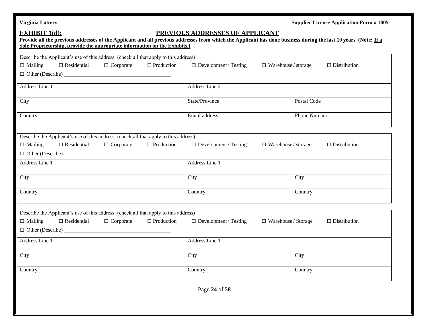| <b>Virginia Lottery</b>                                                                                                                                                                                                                                               |                                                            | <b>Supplier License Application Form #1005</b> |
|-----------------------------------------------------------------------------------------------------------------------------------------------------------------------------------------------------------------------------------------------------------------------|------------------------------------------------------------|------------------------------------------------|
| <b>EXHIBIT 1(d):</b><br>Provide all the previous addresses of the Applicant and all previous addresses from which the Applicant has done business during the last 10 years. (Note: If a<br>Sole Proprietorship, provide the appropriate information on the Exhibits.) | PREVIOUS ADDRESSES OF APPLICANT                            |                                                |
| Describe the Applicant's use of this address: (check all that apply to this address)                                                                                                                                                                                  |                                                            |                                                |
| $\Box$ Mailing<br>$\Box$ Residential<br>$\Box$ Production<br>$\Box$ Corporate                                                                                                                                                                                         | $\Box$ Development / Testing<br>$\Box$ Warehouse / storage | $\Box$ Distribution                            |
| $\Box$ Other (Describe) $\Box$                                                                                                                                                                                                                                        |                                                            |                                                |
| Address Line 1                                                                                                                                                                                                                                                        | Address Line 2                                             |                                                |
| City                                                                                                                                                                                                                                                                  | State/Province                                             | Postal Code                                    |
| Country                                                                                                                                                                                                                                                               | Email address                                              | Phone Number                                   |
| Describe the Applicant's use of this address: (check all that apply to this address)<br>$\Box$ Residential<br>$\Box$ Mailing<br>$\Box$ Corporate<br>$\Box$ Production<br>$\Box$ Other (Describe) $\Box$                                                               | $\Box$ Development / Testing<br>$\Box$ Warehouse / storage | $\Box$ Distribution                            |
| Address Line 1                                                                                                                                                                                                                                                        | Address Line 1                                             |                                                |
| City                                                                                                                                                                                                                                                                  | City                                                       | City                                           |
| Country                                                                                                                                                                                                                                                               | Country                                                    | Country                                        |
| Describe the Applicant's use of this address: (check all that apply to this address)                                                                                                                                                                                  |                                                            |                                                |
| $\Box$ Mailing<br>$\Box$ Production<br>$\Box$ Residential<br>$\Box$ Corporate<br>$\Box$ Other (Describe) $\Box$                                                                                                                                                       | $\Box$ Development / Testing<br>$\Box$ Warehouse / Storage | $\Box$ Distribution                            |
| Address Line 1                                                                                                                                                                                                                                                        | Address Line 1                                             |                                                |
| City                                                                                                                                                                                                                                                                  | City                                                       | City                                           |
| Country                                                                                                                                                                                                                                                               | Country                                                    | Country                                        |
|                                                                                                                                                                                                                                                                       | Page 24 of 58                                              |                                                |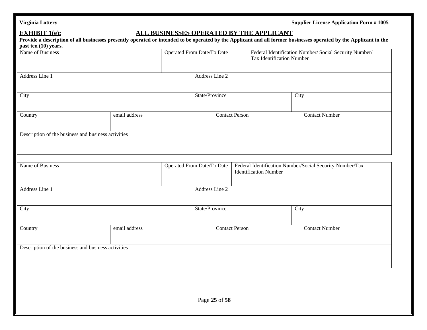| <b>Virginia Lottery</b> |
|-------------------------|
|-------------------------|

**Supplier License Application Form # 1005** 

## **EXHIBIT** 1(e): **ALL BUSINESSES OPERATED BY THE APPLICANT**

| Name of Business                                    |               |                            | Operated From Date/To Date |  |                              | Federal Identification Number/ Social Security Number/<br><b>Tax Identification Number</b> |                                                          |
|-----------------------------------------------------|---------------|----------------------------|----------------------------|--|------------------------------|--------------------------------------------------------------------------------------------|----------------------------------------------------------|
| Address Line 1                                      |               |                            | Address Line 2             |  |                              |                                                                                            |                                                          |
| City                                                |               |                            | State/Province             |  |                              | City                                                                                       |                                                          |
| Country                                             | email address |                            | <b>Contact Person</b>      |  |                              |                                                                                            | <b>Contact Number</b>                                    |
| Description of the business and business activities |               |                            |                            |  |                              |                                                                                            |                                                          |
| Name of Business                                    |               | Operated From Date/To Date |                            |  |                              |                                                                                            | Federal Identification Number/Social Security Number/Tax |
|                                                     |               |                            |                            |  | <b>Identification Number</b> |                                                                                            |                                                          |
| Address Line 1                                      |               |                            | Address Line 2             |  |                              |                                                                                            |                                                          |
| City                                                |               |                            | State/Province             |  | City                         |                                                                                            |                                                          |
| Country                                             | email address |                            | <b>Contact Person</b>      |  |                              | <b>Contact Number</b>                                                                      |                                                          |
| Description of the business and business activities |               |                            |                            |  |                              |                                                                                            |                                                          |
|                                                     |               |                            |                            |  |                              |                                                                                            |                                                          |
|                                                     |               |                            |                            |  |                              |                                                                                            |                                                          |
|                                                     |               |                            |                            |  |                              |                                                                                            |                                                          |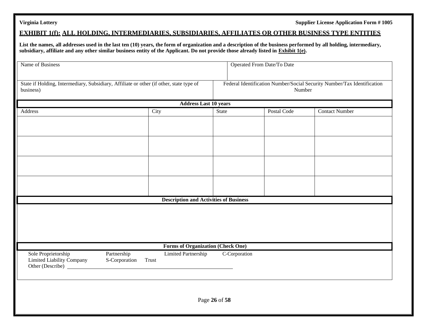### **EXHIBIT 1(f): ALL HOLDING, INTERMEDIARIES, SUBSIDIARIES, AFFILIATES OR OTHER BUSINESS TYPE ENTITIES**

**List the names, all addresses used in the last ten (10) years, the form of organization and a description of the business performed by all holding, intermediary, subsidiary, affiliate and any other similar business entity of the Applicant. Do not provide those already listed in Exhibit 1(e).**

| Name of Business                                                                                     |                              |                                               | Operated From Date/To Date |               |                                                                         |                       |  |  |
|------------------------------------------------------------------------------------------------------|------------------------------|-----------------------------------------------|----------------------------|---------------|-------------------------------------------------------------------------|-----------------------|--|--|
| State if Holding, Intermediary, Subsidiary, Affiliate or other (if other, state type of<br>business) |                              |                                               |                            | Number        | Federal Identification Number/Social Security Number/Tax Identification |                       |  |  |
| <b>Address Last 10 years</b>                                                                         |                              |                                               |                            |               |                                                                         |                       |  |  |
| Address                                                                                              |                              | City                                          | State                      |               | Postal Code                                                             | <b>Contact Number</b> |  |  |
|                                                                                                      |                              |                                               |                            |               |                                                                         |                       |  |  |
|                                                                                                      |                              |                                               |                            |               |                                                                         |                       |  |  |
|                                                                                                      |                              |                                               |                            |               |                                                                         |                       |  |  |
|                                                                                                      |                              |                                               |                            |               |                                                                         |                       |  |  |
|                                                                                                      |                              |                                               |                            |               |                                                                         |                       |  |  |
|                                                                                                      |                              |                                               |                            |               |                                                                         |                       |  |  |
|                                                                                                      |                              |                                               |                            |               |                                                                         |                       |  |  |
|                                                                                                      |                              |                                               |                            |               |                                                                         |                       |  |  |
|                                                                                                      |                              |                                               |                            |               |                                                                         |                       |  |  |
|                                                                                                      |                              | <b>Description and Activities of Business</b> |                            |               |                                                                         |                       |  |  |
|                                                                                                      |                              |                                               |                            |               |                                                                         |                       |  |  |
|                                                                                                      |                              |                                               |                            |               |                                                                         |                       |  |  |
|                                                                                                      |                              |                                               |                            |               |                                                                         |                       |  |  |
|                                                                                                      |                              |                                               |                            |               |                                                                         |                       |  |  |
|                                                                                                      |                              |                                               |                            |               |                                                                         |                       |  |  |
|                                                                                                      |                              | <b>Forms of Organization (Check One)</b>      |                            |               |                                                                         |                       |  |  |
| Sole Proprietorship<br>Limited Liability Company<br>Other (Describe) _                               | Partnership<br>S-Corporation | <b>Limited Partnership</b><br>Trust           |                            | C-Corporation |                                                                         |                       |  |  |
|                                                                                                      |                              |                                               |                            |               |                                                                         |                       |  |  |
|                                                                                                      |                              |                                               |                            |               |                                                                         |                       |  |  |
|                                                                                                      |                              |                                               |                            |               |                                                                         |                       |  |  |
|                                                                                                      |                              |                                               | Page 26 of 58              |               |                                                                         |                       |  |  |
|                                                                                                      |                              |                                               |                            |               |                                                                         |                       |  |  |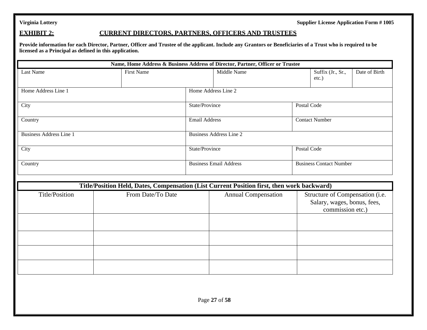### **EXHIBIT 2: CURRENT DIRECTORS, PARTNERS, OFFICERS AND TRUSTEES**

**Provide information for each Director, Partner, Officer and Trustee of the applicant. Include any Grantors or Beneficiaries of a Trust who is required to be licensed as a Principal as defined in this application.**

|                                |                   |                      | Name, Home Address & Business Address of Director, Partner, Officer or Trustee             |             |                                                                                    |               |
|--------------------------------|-------------------|----------------------|--------------------------------------------------------------------------------------------|-------------|------------------------------------------------------------------------------------|---------------|
| Last Name                      | <b>First Name</b> |                      |                                                                                            | Middle Name |                                                                                    | Date of Birth |
| Home Address Line 1            |                   |                      | Home Address Line 2                                                                        |             |                                                                                    |               |
| City                           |                   | State/Province       |                                                                                            | Postal Code |                                                                                    |               |
| Country                        |                   | <b>Email Address</b> |                                                                                            |             | <b>Contact Number</b>                                                              |               |
| <b>Business Address Line 1</b> |                   |                      | <b>Business Address Line 2</b>                                                             |             |                                                                                    |               |
| City                           |                   | State/Province       |                                                                                            | Postal Code |                                                                                    |               |
| Country                        |                   |                      | <b>Business Email Address</b>                                                              |             | <b>Business Contact Number</b>                                                     |               |
|                                |                   |                      | Title/Position Held, Dates, Compensation (List Current Position first, then work backward) |             |                                                                                    |               |
| Title/Position                 | From Date/To Date |                      | <b>Annual Compensation</b>                                                                 |             | Structure of Compensation (i.e.<br>Salary, wages, bonus, fees,<br>commission etc.) |               |
|                                |                   |                      |                                                                                            |             |                                                                                    |               |
|                                |                   |                      |                                                                                            |             |                                                                                    |               |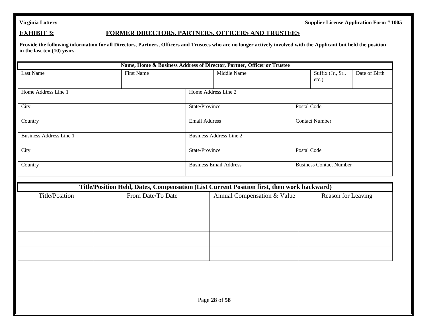### **EXHIBIT 3: FORMER DIRECTORS, PARTNERS, OFFICERS AND TRUSTEES**

**Provide the following information for all Directors, Partners, Officers and Trustees who are no longer actively involved with the Applicant but held the position in the last ten (10) years.**

|                                |                                                                                            |  | Name, Home & Business Address of Director, Partner, Officer or Trustee |  |                                |               |  |  |
|--------------------------------|--------------------------------------------------------------------------------------------|--|------------------------------------------------------------------------|--|--------------------------------|---------------|--|--|
| Last Name                      | <b>First Name</b>                                                                          |  | Middle Name                                                            |  |                                | Date of Birth |  |  |
| Home Address Line 1            |                                                                                            |  | Home Address Line 2                                                    |  |                                |               |  |  |
| City                           |                                                                                            |  | State/Province                                                         |  | Postal Code                    |               |  |  |
| Country                        |                                                                                            |  | <b>Email Address</b>                                                   |  | <b>Contact Number</b>          |               |  |  |
| <b>Business Address Line 1</b> |                                                                                            |  | <b>Business Address Line 2</b>                                         |  |                                |               |  |  |
| City                           |                                                                                            |  | State/Province                                                         |  | Postal Code                    |               |  |  |
| Country                        |                                                                                            |  | <b>Business Email Address</b>                                          |  | <b>Business Contact Number</b> |               |  |  |
|                                | Title/Position Held, Dates, Compensation (List Current Position first, then work backward) |  |                                                                        |  |                                |               |  |  |
| Title/Position                 | From Date/To Date                                                                          |  | Annual Compensation & Value                                            |  | Reason for Leaving             |               |  |  |
|                                |                                                                                            |  |                                                                        |  |                                |               |  |  |
|                                |                                                                                            |  |                                                                        |  |                                |               |  |  |
|                                |                                                                                            |  |                                                                        |  |                                |               |  |  |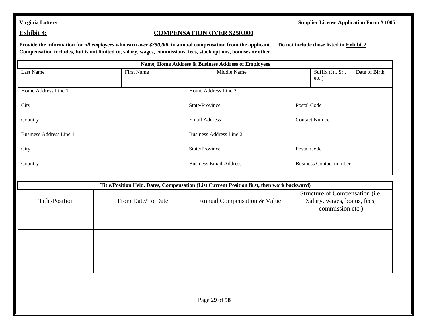### **Exhibit 4: COMPENSATION OVER \$250,000**

**Provide the information for** *all employees* **who earn** *over \$250,000* **in annual compensation from the applicant. Do not include those listed in Exhibit 2. Compensation includes, but is not limited to, salary, wages, commissions, fees, stock options, bonuses or other.**

|                                |                   | Name, Home Address & Business Address of Employees                                         |                                                                                    |  |  |  |  |
|--------------------------------|-------------------|--------------------------------------------------------------------------------------------|------------------------------------------------------------------------------------|--|--|--|--|
| <b>Last Name</b>               | <b>First Name</b> | Middle Name                                                                                | Date of Birth<br>Suffix (Jr., Sr.,<br>$etc.$ )                                     |  |  |  |  |
| Home Address Line 1            |                   | Home Address Line 2                                                                        |                                                                                    |  |  |  |  |
| City                           |                   | State/Province                                                                             | Postal Code                                                                        |  |  |  |  |
| Country                        |                   | <b>Email Address</b>                                                                       | <b>Contact Number</b>                                                              |  |  |  |  |
| <b>Business Address Line 1</b> |                   | <b>Business Address Line 2</b>                                                             |                                                                                    |  |  |  |  |
| City                           |                   | State/Province                                                                             | Postal Code                                                                        |  |  |  |  |
| Country                        |                   | <b>Business Email Address</b>                                                              | <b>Business Contact number</b>                                                     |  |  |  |  |
|                                |                   | Title/Position Held, Dates, Compensation (List Current Position first, then work backward) |                                                                                    |  |  |  |  |
| Title/Position                 | From Date/To Date | Annual Compensation & Value                                                                | Structure of Compensation (i.e.<br>Salary, wages, bonus, fees,<br>commission etc.) |  |  |  |  |
|                                |                   |                                                                                            |                                                                                    |  |  |  |  |
|                                |                   |                                                                                            |                                                                                    |  |  |  |  |
|                                |                   |                                                                                            |                                                                                    |  |  |  |  |
|                                |                   |                                                                                            |                                                                                    |  |  |  |  |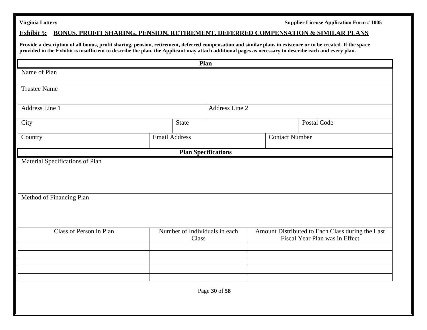### **Exhibit 5: BONUS, PROFIT SHARING, PENSION, RETIREMENT, DEFERRED COMPENSATION & SIMILAR PLANS**

**Provide a description of all bonus, profit sharing, pension, retirement, deferred compensation and similar plans in existence or to be created. If the space provided in the Exhibit is insufficient to describe the plan, the Applicant may attach additional pages as necessary to describe each and every plan.**

|                                                             |                                        |                | Plan                       |                       |                                                                                    |             |
|-------------------------------------------------------------|----------------------------------------|----------------|----------------------------|-----------------------|------------------------------------------------------------------------------------|-------------|
| Name of Plan                                                |                                        |                |                            |                       |                                                                                    |             |
| <b>Trustee Name</b>                                         |                                        |                |                            |                       |                                                                                    |             |
| Address Line 1                                              |                                        | Address Line 2 |                            |                       |                                                                                    |             |
| City                                                        |                                        | State          |                            |                       |                                                                                    | Postal Code |
| Country                                                     | <b>Email Address</b>                   |                |                            | <b>Contact Number</b> |                                                                                    |             |
|                                                             |                                        |                | <b>Plan Specifications</b> |                       |                                                                                    |             |
| Material Specifications of Plan<br>Method of Financing Plan |                                        |                |                            |                       |                                                                                    |             |
| Class of Person in Plan                                     | Number of Individuals in each<br>Class |                |                            |                       | Amount Distributed to Each Class during the Last<br>Fiscal Year Plan was in Effect |             |
| Page 30 of 58                                               |                                        |                |                            |                       |                                                                                    |             |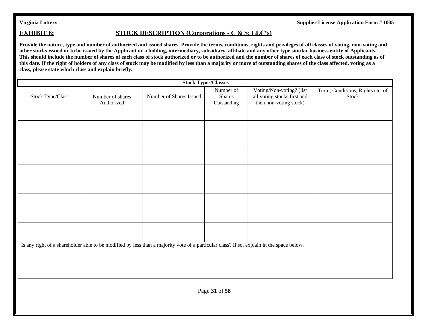### **EXHIBIT 6: STOCK DESCRIPTION (Corporations - C & S; LLC's)**

Provide the nature, type and number of authorized and issued shares. Provide the terms, conditions, rights and privileges of all classes of voting, non-voting and **other stocks issued or to be issued by the Applicant or a holding, intermediary, subsidiary, affiliate and any other type similar business entity of Applicants. This should include the number of shares of each class of stock authorized or to be authorized and the number of shares of each class of stock outstanding as of this date. If the right of holders of any class of stock may be modified by less than a majority or more of outstanding shares of the class affected, voting as a class, please state which class and explain briefly.**

| <b>Stock Types/Classes</b>                                                                                                               |                                |                         |                                           |                                                                                   |                                           |  |  |
|------------------------------------------------------------------------------------------------------------------------------------------|--------------------------------|-------------------------|-------------------------------------------|-----------------------------------------------------------------------------------|-------------------------------------------|--|--|
| Stock Type/Class                                                                                                                         | Number of shares<br>Authorized | Number of Shares Issued | Number of<br><b>Shares</b><br>Outstanding | Voting/Non-voting? (list<br>all voting stocks first and<br>then non-voting stock) | Term, Conditions, Rights etc. of<br>Stock |  |  |
|                                                                                                                                          |                                |                         |                                           |                                                                                   |                                           |  |  |
|                                                                                                                                          |                                |                         |                                           |                                                                                   |                                           |  |  |
|                                                                                                                                          |                                |                         |                                           |                                                                                   |                                           |  |  |
|                                                                                                                                          |                                |                         |                                           |                                                                                   |                                           |  |  |
|                                                                                                                                          |                                |                         |                                           |                                                                                   |                                           |  |  |
|                                                                                                                                          |                                |                         |                                           |                                                                                   |                                           |  |  |
|                                                                                                                                          |                                |                         |                                           |                                                                                   |                                           |  |  |
| Is any right of a shareholder able to be modified by less than a majority vote of a particular class? If so, explain in the space below. |                                |                         |                                           |                                                                                   |                                           |  |  |
|                                                                                                                                          |                                |                         |                                           |                                                                                   |                                           |  |  |
| Page 31 of 58                                                                                                                            |                                |                         |                                           |                                                                                   |                                           |  |  |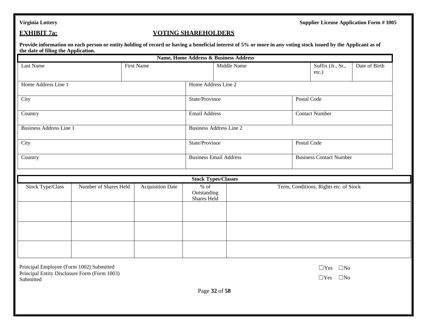### **EXHIBIT 7a: VOTING SHAREHOLDERS**

**Provide information on each person or entity holding of record or having a beneficial interest of 5% or more in any voting stock issued by the Applicant as of the date of filing the Application.**

|                                |                       |                         |                                      | <b>Name, Home Address &amp; Business Address</b> |             |                                        |                       |  |
|--------------------------------|-----------------------|-------------------------|--------------------------------------|--------------------------------------------------|-------------|----------------------------------------|-----------------------|--|
| Last Name                      |                       | First Name              |                                      | Middle Name                                      |             | Suffix (Jr., Sr.,<br>$etc.$ )          | Date of Birth         |  |
| Home Address Line 1            | Home Address Line 2   |                         |                                      |                                                  |             |                                        |                       |  |
| City                           |                       | State/Province          |                                      |                                                  | Postal Code |                                        |                       |  |
| Country                        |                       | <b>Email Address</b>    |                                      |                                                  |             |                                        | <b>Contact Number</b> |  |
| <b>Business Address Line 1</b> |                       |                         | <b>Business Address Line 2</b>       |                                                  |             |                                        |                       |  |
| City                           |                       | State/Province          |                                      | Postal Code                                      |             |                                        |                       |  |
| Country                        |                       |                         |                                      | <b>Business Email Address</b>                    |             | <b>Business Contact Number</b>         |                       |  |
|                                |                       |                         |                                      | <b>Stock Types/Classes</b>                       |             |                                        |                       |  |
| <b>Stock Type/Class</b>        | Number of Shares Held | <b>Acquisition Date</b> | $%$ of<br>Outstanding<br>Shares Held |                                                  |             | Term, Conditions, Rights etc. of Stock |                       |  |

| Principal Employee (Form 1002) Submitted     |
|----------------------------------------------|
| Principal Entity Disclosure Form (Form 1003) |
| Submitted                                    |

| റ |
|---|
|   |

☐Yes ☐No

Page **32** of **58**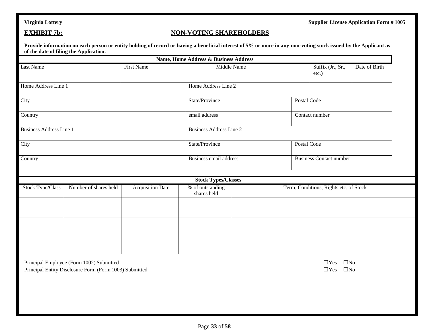### **EXHIBIT 7b: NON-VOTING SHAREHOLDERS**

**Provide information on each person or entity holding of record or having a beneficial interest of 5% or more in any non-voting stock issued by the Applicant as of the date of filing the Application.**

|                         |                                          |                         |                                 | Name, Home Address & Business Address |  |                                        |               |  |
|-------------------------|------------------------------------------|-------------------------|---------------------------------|---------------------------------------|--|----------------------------------------|---------------|--|
| Last Name               |                                          | <b>First Name</b>       |                                 | Middle Name                           |  | Suffix (Jr., Sr.,<br>etc.)             | Date of Birth |  |
| Home Address Line 1     |                                          |                         |                                 | Home Address Line 2                   |  |                                        |               |  |
| City                    |                                          |                         |                                 | State/Province                        |  | Postal Code                            |               |  |
| Country                 |                                          |                         | email address                   |                                       |  | Contact number                         |               |  |
|                         | <b>Business Address Line 1</b>           |                         |                                 | <b>Business Address Line 2</b>        |  |                                        |               |  |
| City                    |                                          |                         | State/Province                  |                                       |  | Postal Code                            |               |  |
| Country                 |                                          |                         | Business email address          |                                       |  | <b>Business Contact number</b>         |               |  |
|                         |                                          |                         |                                 | <b>Stock Types/Classes</b>            |  |                                        |               |  |
| <b>Stock Type/Class</b> | Number of shares held                    | <b>Acquisition Date</b> | % of outstanding<br>shares held |                                       |  | Term, Conditions, Rights etc. of Stock |               |  |
|                         |                                          |                         |                                 |                                       |  |                                        |               |  |
|                         |                                          |                         |                                 |                                       |  |                                        |               |  |
|                         | Principal Employee (Form 1002) Submitted |                         |                                 |                                       |  | $\square$ No<br>$\Box$ Yes             |               |  |

Principal Entity Disclosure Form (Form 1003) Submitted ◯Yes ◯No

| ⊥Yes          | $\Box$ Nc |
|---------------|-----------|
| $\exists$ Yes | $\Box$ Nc |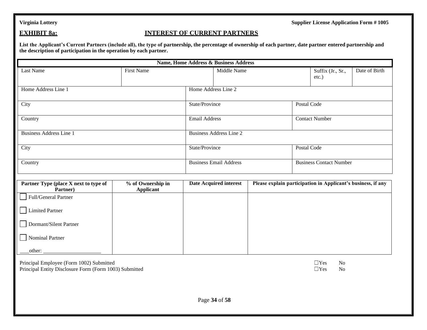### **EXHIBIT 8a: INTEREST OF CURRENT PARTNERS**

**List the Applicant's Current Partners (include all), the type of partnership, the percentage of ownership of each partner, date partner entered partnership and the description of participation in the operation by each partner.**

| <b>Name, Home Address &amp; Business Address</b>                                                   |                                       |                      |                                |  |             |                                                              |               |  |
|----------------------------------------------------------------------------------------------------|---------------------------------------|----------------------|--------------------------------|--|-------------|--------------------------------------------------------------|---------------|--|
| Last Name                                                                                          | <b>First Name</b>                     |                      | Middle Name                    |  |             | Suffix (Jr., Sr.,<br>$etc.$ )                                | Date of Birth |  |
| Home Address Line 1                                                                                |                                       |                      | Home Address Line 2            |  |             |                                                              |               |  |
| City                                                                                               |                                       | State/Province       |                                |  | Postal Code |                                                              |               |  |
| Country                                                                                            |                                       | <b>Email Address</b> |                                |  |             | <b>Contact Number</b>                                        |               |  |
| <b>Business Address Line 1</b>                                                                     |                                       |                      | <b>Business Address Line 2</b> |  |             |                                                              |               |  |
| City                                                                                               |                                       |                      | State/Province                 |  |             | Postal Code                                                  |               |  |
| Country                                                                                            |                                       |                      | <b>Business Email Address</b>  |  |             | <b>Business Contact Number</b>                               |               |  |
| Partner Type (place X next to type of<br>Partner)                                                  | % of Ownership in<br><b>Applicant</b> |                      | <b>Date Acquired interest</b>  |  |             | Please explain participation in Applicant's business, if any |               |  |
| Full/General Partner                                                                               |                                       |                      |                                |  |             |                                                              |               |  |
| <b>Limited Partner</b>                                                                             |                                       |                      |                                |  |             |                                                              |               |  |
| Dormant/Silent Partner                                                                             |                                       |                      |                                |  |             |                                                              |               |  |
| Nominal Partner                                                                                    |                                       |                      |                                |  |             |                                                              |               |  |
| other:                                                                                             |                                       |                      |                                |  |             |                                                              |               |  |
| Principal Employee (Form 1002) Submitted<br>Principal Entity Disclosure Form (Form 1003) Submitted |                                       |                      |                                |  |             | $\Box$ Yes<br>N <sub>o</sub><br>$\Box$ Yes<br>No             |               |  |
|                                                                                                    |                                       |                      |                                |  |             |                                                              |               |  |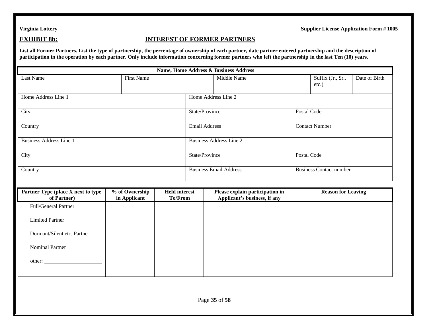### **EXHIBIT 8b: INTEREST OF FORMER PARTNERS**

**List all Former Partners. List the type of partnership, the percentage of ownership of each partner, date partner entered partnership and the description of participation in the operation by each partner. Only include information concerning former partners who left the partnership in the last Ten (10) years.**

| <b>Name, Home Address &amp; Business Address</b>  |                                |                                 |                |                                                                 |             |                                |               |  |  |
|---------------------------------------------------|--------------------------------|---------------------------------|----------------|-----------------------------------------------------------------|-------------|--------------------------------|---------------|--|--|
| Last Name                                         | <b>First Name</b>              |                                 | Middle Name    |                                                                 |             | Suffix (Jr., Sr.,<br>etc.)     | Date of Birth |  |  |
| Home Address Line 1                               |                                |                                 |                | Home Address Line 2                                             |             |                                |               |  |  |
| City                                              |                                |                                 | State/Province |                                                                 | Postal Code |                                |               |  |  |
| Country                                           |                                |                                 |                | <b>Email Address</b>                                            |             | <b>Contact Number</b>          |               |  |  |
| <b>Business Address Line 1</b>                    |                                |                                 |                | <b>Business Address Line 2</b>                                  |             |                                |               |  |  |
| City                                              |                                |                                 | State/Province |                                                                 |             | Postal Code                    |               |  |  |
| Country                                           |                                |                                 |                | <b>Business Email Address</b>                                   |             | <b>Business Contact number</b> |               |  |  |
|                                                   |                                |                                 |                |                                                                 |             |                                |               |  |  |
| Partner Type (place X next to type<br>of Partner) | % of Ownership<br>in Applicant | <b>Held</b> interest<br>To/From |                | Please explain participation in<br>Applicant's business, if any |             | <b>Reason for Leaving</b>      |               |  |  |
| Full/General Partner                              |                                |                                 |                |                                                                 |             |                                |               |  |  |
| <b>Limited Partner</b>                            |                                |                                 |                |                                                                 |             |                                |               |  |  |
| Dormant/Silent etc. Partner                       |                                |                                 |                |                                                                 |             |                                |               |  |  |
| <b>Nominal Partner</b>                            |                                |                                 |                |                                                                 |             |                                |               |  |  |
| other:                                            |                                |                                 |                |                                                                 |             |                                |               |  |  |
|                                                   |                                |                                 |                |                                                                 |             |                                |               |  |  |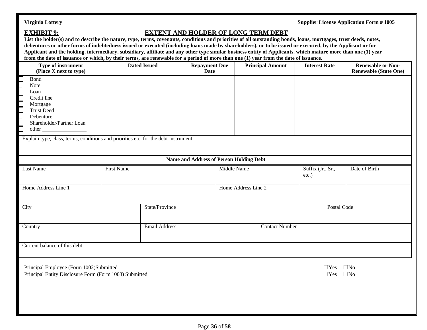## **EXHIBIT 9: EXTENT AND HOLDER OF LONG TERM DEBT**

List the holder(s) and to describe the nature, type, terms, covenants, conditions and priorities of all outstanding bonds, loans, mortgages, trust deeds, notes, **debentures or other forms of indebtedness issued or executed (including loans made by shareholders), or to be issued or executed, by the Applicant or for Applicant and the holding, intermediary, subsidiary, affiliate and any other type similar business entity of Applicants, which mature more than one (1) year from the date of issuance or which, by their terms, are renewable for a period of more than one (1) year from the date of issuance.**

| Type of instrument<br>(Place X next to type)                                                                                                                                                                                    | <b>Dated Issued</b> |                      | <b>Repayment Due</b><br>Date                                  | <b>Principal Amount</b> | <b>Interest Rate</b>       | <b>Renewable or Non-</b><br><b>Renewable (State One)</b> |
|---------------------------------------------------------------------------------------------------------------------------------------------------------------------------------------------------------------------------------|---------------------|----------------------|---------------------------------------------------------------|-------------------------|----------------------------|----------------------------------------------------------|
| Bond<br>Note<br>Loan<br><u>Clanator</u><br>Credit line<br>Mortgage<br><b>Trust Deed</b><br>Debenture<br>Shareholder/Partner Loan<br>other<br>Explain type, class, terms, conditions and priorities etc. for the debt instrument |                     |                      |                                                               |                         |                            |                                                          |
|                                                                                                                                                                                                                                 |                     |                      |                                                               |                         |                            |                                                          |
| <b>Last Name</b>                                                                                                                                                                                                                | <b>First Name</b>   |                      | <b>Name and Address of Person Holding Debt</b><br>Middle Name |                         | Suffix (Jr., Sr.,<br>etc.) | Date of Birth                                            |
| Home Address Line 1                                                                                                                                                                                                             |                     |                      |                                                               | Home Address Line 2     |                            |                                                          |
| City                                                                                                                                                                                                                            |                     | State/Province       |                                                               |                         | Postal Code                |                                                          |
| Country                                                                                                                                                                                                                         |                     | <b>Email Address</b> |                                                               | <b>Contact Number</b>   |                            |                                                          |
| Current balance of this debt                                                                                                                                                                                                    |                     |                      |                                                               |                         |                            |                                                          |
| Principal Employee (Form 1002)Submitted<br>Principal Entity Disclosure Form (Form 1003) Submitted                                                                                                                               |                     |                      |                                                               |                         | $\Box$ Yes<br>$\Box$ Yes   | $\square$ No<br>$\Box$ No                                |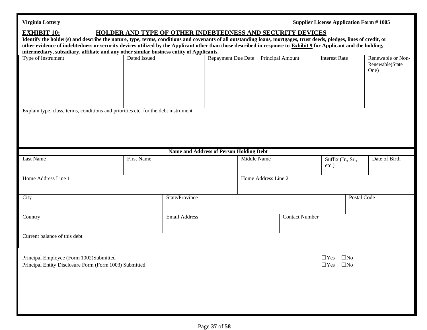**Supplier License Application Form # 1005** 

### **EXHIBIT 10: HOLDER AND TYPE OF OTHER INDEBTEDNESS AND SECURITY DEVICES**

**Identify the holder(s) and describe the nature, type, terms, conditions and covenants of all outstanding loans, mortgages, trust deeds, pledges, lines of credit, or other evidence of indebtedness or security devices utilized by the Applicant other than those described in response to Exhibit 9 for Applicant and the holding, intermediary, subsidiary, affiliate and any other similar business entity of Applicants.**

| intermetrary, subsidiary, anniate and any other similar business entity of Applicants. |                      |                                                |                         |                      |                   |                   |
|----------------------------------------------------------------------------------------|----------------------|------------------------------------------------|-------------------------|----------------------|-------------------|-------------------|
| Type of Instrument                                                                     | Dated Issued         | Repayment Due Date                             | <b>Principal Amount</b> | <b>Interest Rate</b> |                   | Renewable or Non- |
|                                                                                        |                      |                                                |                         |                      |                   | Renewable(State   |
|                                                                                        |                      |                                                |                         |                      |                   | One)              |
|                                                                                        |                      |                                                |                         |                      |                   |                   |
|                                                                                        |                      |                                                |                         |                      |                   |                   |
|                                                                                        |                      |                                                |                         |                      |                   |                   |
|                                                                                        |                      |                                                |                         |                      |                   |                   |
|                                                                                        |                      |                                                |                         |                      |                   |                   |
|                                                                                        |                      |                                                |                         |                      |                   |                   |
| Explain type, class, terms, conditions and priorities etc. for the debt instrument     |                      |                                                |                         |                      |                   |                   |
|                                                                                        |                      |                                                |                         |                      |                   |                   |
|                                                                                        |                      |                                                |                         |                      |                   |                   |
|                                                                                        |                      |                                                |                         |                      |                   |                   |
|                                                                                        |                      |                                                |                         |                      |                   |                   |
|                                                                                        |                      |                                                |                         |                      |                   |                   |
|                                                                                        |                      |                                                |                         |                      |                   |                   |
|                                                                                        |                      | <b>Name and Address of Person Holding Debt</b> |                         |                      |                   |                   |
| Last Name                                                                              | <b>First Name</b>    |                                                | <b>Middle Name</b>      |                      | Suffix (Jr., Sr., | Date of Birth     |
|                                                                                        |                      |                                                |                         | $etc.$ )             |                   |                   |
|                                                                                        |                      |                                                |                         |                      |                   |                   |
| Home Address Line 1                                                                    |                      |                                                | Home Address Line 2     |                      |                   |                   |
|                                                                                        |                      |                                                |                         |                      |                   |                   |
|                                                                                        |                      |                                                |                         |                      |                   |                   |
| City                                                                                   | State/Province       |                                                |                         |                      | Postal Code       |                   |
|                                                                                        |                      |                                                |                         |                      |                   |                   |
|                                                                                        |                      |                                                |                         |                      |                   |                   |
|                                                                                        |                      |                                                |                         |                      |                   |                   |
| Country                                                                                | <b>Email Address</b> |                                                | <b>Contact Number</b>   |                      |                   |                   |
|                                                                                        |                      |                                                |                         |                      |                   |                   |
|                                                                                        |                      |                                                |                         |                      |                   |                   |
| Current balance of this debt                                                           |                      |                                                |                         |                      |                   |                   |
|                                                                                        |                      |                                                |                         |                      |                   |                   |
|                                                                                        |                      |                                                |                         |                      |                   |                   |
|                                                                                        |                      |                                                |                         |                      |                   |                   |
| Principal Employee (Form 1002)Submitted                                                |                      |                                                |                         | $\Box$ Yes           | $\square$ No      |                   |
| Principal Entity Disclosure Form (Form 1003) Submitted                                 |                      |                                                |                         | $\Box$ Yes           | $\square$ No      |                   |
|                                                                                        |                      |                                                |                         |                      |                   |                   |
|                                                                                        |                      |                                                |                         |                      |                   |                   |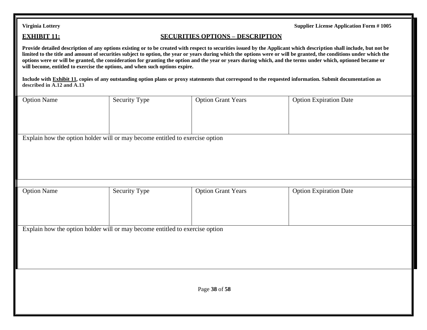### **EXHIBIT 11: SECURITIES OPTIONS – DESCRIPTION**

**Provide detailed description of any options existing or to be created with respect to securities issued by the Applicant which description shall include, but not be limited to the title and amount of securities subject to option, the year or years during which the options were or will be granted, the conditions under which the options were or will be granted, the consideration for granting the option and the year or years during which, and the terms under which, optioned became or will become, entitled to exercise the options, and when such options expire.**

**Include with Exhibit 11, copies of any outstanding option plans or proxy statements that correspond to the requested information. Submit documentation as described in A.12 and A.13**

| <b>Option Name</b>                                                           | <b>Security Type</b> | <b>Option Grant Years</b> | <b>Option Expiration Date</b> |
|------------------------------------------------------------------------------|----------------------|---------------------------|-------------------------------|
|                                                                              |                      |                           |                               |
| Explain how the option holder will or may become entitled to exercise option |                      |                           |                               |
|                                                                              |                      |                           |                               |
| <b>Option Name</b>                                                           | <b>Security Type</b> | <b>Option Grant Years</b> | <b>Option Expiration Date</b> |
|                                                                              |                      |                           |                               |
| Explain how the option holder will or may become entitled to exercise option |                      |                           |                               |
|                                                                              |                      |                           |                               |
|                                                                              |                      | Page 38 of 58             |                               |
|                                                                              |                      |                           |                               |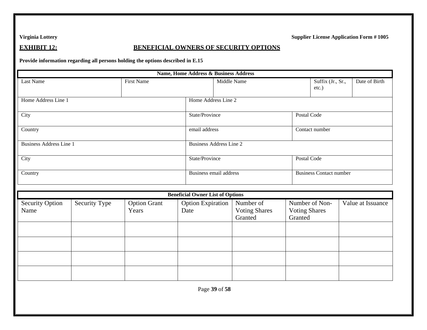### **EXHIBIT 12: BENEFICIAL OWNERS OF SECURITY OPTIONS**

**Provide information regarding all persons holding the options described in E.15**

| <b>Name, Home Address &amp; Business Address</b> |               |                              |                                         |                        |                                              |                                 |                                |  |                   |
|--------------------------------------------------|---------------|------------------------------|-----------------------------------------|------------------------|----------------------------------------------|---------------------------------|--------------------------------|--|-------------------|
| Last Name                                        |               | <b>First Name</b>            |                                         | Middle Name            |                                              |                                 | Suffix (Jr., Sr.,<br>$etc.$ )  |  | Date of Birth     |
| Home Address Line 1                              |               |                              | Home Address Line 2                     |                        |                                              |                                 |                                |  |                   |
| City                                             |               |                              |                                         | State/Province         |                                              |                                 | Postal Code                    |  |                   |
| Country                                          |               |                              | email address                           |                        |                                              |                                 | Contact number                 |  |                   |
| <b>Business Address Line 1</b>                   |               |                              | <b>Business Address Line 2</b>          |                        |                                              |                                 |                                |  |                   |
| City                                             |               |                              |                                         | State/Province         |                                              |                                 | Postal Code                    |  |                   |
| Country                                          |               |                              |                                         | Business email address |                                              |                                 | <b>Business Contact number</b> |  |                   |
|                                                  |               |                              | <b>Beneficial Owner List of Options</b> |                        |                                              |                                 |                                |  |                   |
| <b>Security Option</b><br>Name                   | Security Type | <b>Option Grant</b><br>Years | <b>Option Expiration</b><br>Date        |                        | Number of<br><b>Voting Shares</b><br>Granted | <b>Voting Shares</b><br>Granted | Number of Non-                 |  | Value at Issuance |
|                                                  |               |                              |                                         |                        |                                              |                                 |                                |  |                   |
|                                                  |               |                              |                                         |                        |                                              |                                 |                                |  |                   |
|                                                  |               |                              |                                         |                        |                                              |                                 |                                |  |                   |
|                                                  |               |                              |                                         |                        |                                              |                                 |                                |  |                   |
|                                                  |               |                              |                                         | Page 39 of 58          |                                              |                                 |                                |  |                   |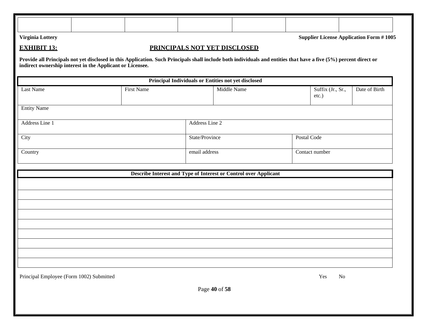| Virginia Lottery                         |                                                                                                                                                                                                                                |                                                                  |                                                     |             |  | <b>Supplier License Application Form #1005</b> |               |  |
|------------------------------------------|--------------------------------------------------------------------------------------------------------------------------------------------------------------------------------------------------------------------------------|------------------------------------------------------------------|-----------------------------------------------------|-------------|--|------------------------------------------------|---------------|--|
| <b>EXHIBIT 13:</b>                       |                                                                                                                                                                                                                                |                                                                  | PRINCIPALS NOT YET DISCLOSED                        |             |  |                                                |               |  |
|                                          | Provide all Principals not yet disclosed in this Application. Such Principals shall include both individuals and entities that have a five (5%) percent direct or<br>indirect ownership interest in the Applicant or Licensee. |                                                                  |                                                     |             |  |                                                |               |  |
|                                          |                                                                                                                                                                                                                                |                                                                  | Principal Individuals or Entities not yet disclosed |             |  |                                                |               |  |
| Last Name                                |                                                                                                                                                                                                                                | <b>First Name</b>                                                |                                                     | Middle Name |  | Suffix (Jr., Sr.,<br>etc.)                     | Date of Birth |  |
| <b>Entity Name</b>                       |                                                                                                                                                                                                                                |                                                                  |                                                     |             |  |                                                |               |  |
| Address Line 1                           |                                                                                                                                                                                                                                |                                                                  | Address Line 2                                      |             |  |                                                |               |  |
| City                                     |                                                                                                                                                                                                                                |                                                                  | State/Province                                      |             |  | Postal Code                                    |               |  |
| Country                                  |                                                                                                                                                                                                                                |                                                                  | email address                                       |             |  | Contact number                                 |               |  |
|                                          |                                                                                                                                                                                                                                | Describe Interest and Type of Interest or Control over Applicant |                                                     |             |  |                                                |               |  |
|                                          |                                                                                                                                                                                                                                |                                                                  |                                                     |             |  |                                                |               |  |
|                                          |                                                                                                                                                                                                                                |                                                                  |                                                     |             |  |                                                |               |  |
|                                          |                                                                                                                                                                                                                                |                                                                  |                                                     |             |  |                                                |               |  |
|                                          |                                                                                                                                                                                                                                |                                                                  |                                                     |             |  |                                                |               |  |
|                                          |                                                                                                                                                                                                                                |                                                                  |                                                     |             |  |                                                |               |  |
|                                          |                                                                                                                                                                                                                                |                                                                  |                                                     |             |  |                                                |               |  |
|                                          |                                                                                                                                                                                                                                |                                                                  |                                                     |             |  |                                                |               |  |
| Principal Employee (Form 1002) Submitted |                                                                                                                                                                                                                                |                                                                  | Page 40 of 58                                       |             |  | $\operatorname{Yes}$<br>${\rm No}$             |               |  |
|                                          |                                                                                                                                                                                                                                |                                                                  |                                                     |             |  |                                                |               |  |
|                                          |                                                                                                                                                                                                                                |                                                                  |                                                     |             |  |                                                |               |  |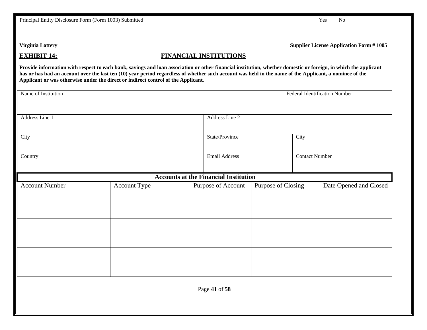Principal Entity Disclosure Form (Form 1003) Submitted Yes No

**Virginia Lottery Supplier License Application Form # 1005**

### **EXHIBIT 14: FINANCIAL INSTITUTIONS**

**Provide information with respect to each bank, savings and loan association or other financial institution, whether domestic or foreign, in which the applicant**  has or has had an account over the last ten (10) year period regardless of whether such account was held in the name of the Applicant, a nominee of the **Applicant or was otherwise under the direct or indirect control of the Applicant.**

| Name of Institution   |              |                                              |                    |                | <b>Federal Identification Number</b> |
|-----------------------|--------------|----------------------------------------------|--------------------|----------------|--------------------------------------|
| Address Line 1        |              | Address Line 2                               |                    |                |                                      |
| City                  |              | State/Province                               |                    | City           |                                      |
| Country               |              | <b>Email Address</b>                         |                    | Contact Number |                                      |
|                       |              | <b>Accounts at the Financial Institution</b> |                    |                |                                      |
| <b>Account Number</b> | Account Type | Purpose of Account                           | Purpose of Closing |                | Date Opened and Closed               |
|                       |              |                                              |                    |                |                                      |
|                       |              |                                              |                    |                |                                      |
|                       |              |                                              |                    |                |                                      |
|                       |              |                                              |                    |                |                                      |
|                       |              |                                              |                    |                |                                      |
|                       |              |                                              |                    |                |                                      |
|                       |              | Page 41 of 58                                |                    |                |                                      |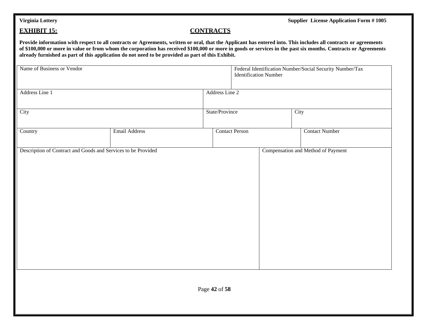### **EXHIBIT 15: CONTRACTS**

**Provide information with respect to all contracts or Agreements, written or oral, that the Applicant has entered into. This includes all contracts or agreements of \$100,000 or more in value or from whom the corporation has received \$100,000 or more in goods or services in the past six months. Contracts or Agreements already furnished as part of this application do not need to be provided as part of this Exhibit.**

| Name of Business or Vendor                                    |                      |                | <b>Identification Number</b> | Federal Identification Number/Social Security Number/Tax |
|---------------------------------------------------------------|----------------------|----------------|------------------------------|----------------------------------------------------------|
| Address Line 1                                                |                      | Address Line 2 |                              |                                                          |
| City                                                          |                      | State/Province |                              | City                                                     |
| Country                                                       | <b>Email Address</b> |                | <b>Contact Person</b>        | <b>Contact Number</b>                                    |
| Description of Contract and Goods and Services to be Provided |                      |                |                              | Compensation and Method of Payment                       |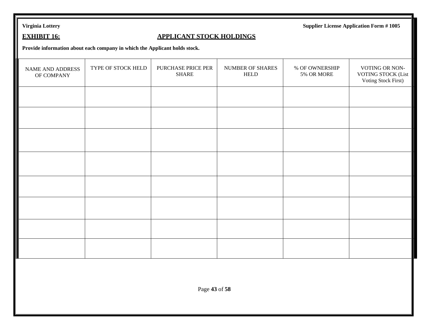## **EXHIBIT 16: APPLICANT STOCK HOLDINGS**

**Provide information about each company in which the Applicant holds stock.**

| NAME AND ADDRESS<br>OF COMPANY | TYPE OF STOCK HELD | PURCHASE PRICE PER<br><b>SHARE</b> | NUMBER OF SHARES<br>HELD | % OF OWNERSHIP<br>5% OR MORE | VOTING OR NON-<br>VOTING STOCK (List<br><b>Voting Stock First)</b> |
|--------------------------------|--------------------|------------------------------------|--------------------------|------------------------------|--------------------------------------------------------------------|
|                                |                    |                                    |                          |                              |                                                                    |
|                                |                    |                                    |                          |                              |                                                                    |
|                                |                    |                                    |                          |                              |                                                                    |
|                                |                    |                                    |                          |                              |                                                                    |
|                                |                    |                                    |                          |                              |                                                                    |
|                                |                    |                                    |                          |                              |                                                                    |
|                                |                    |                                    |                          |                              |                                                                    |
|                                |                    |                                    |                          |                              |                                                                    |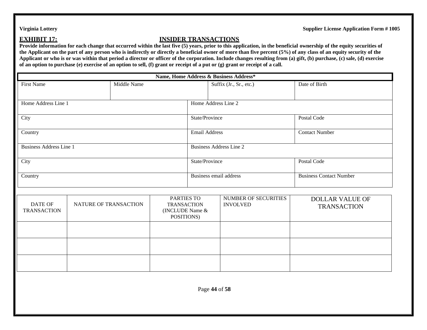## **EXHIBIT 17: INSIDER TRANSACTIONS**

**Provide information for each change that occurred within the last five (5) years, prior to this application, in the beneficial ownership of the equity securities of the Applicant on the part of any person who is indirectly or directly a beneficial owner of more than five percent (5%) of any class of an equity security of the Applicant or who is or was within that period a director or officer of the corporation. Include changes resulting from (a) gift, (b) purchase, (c) sale, (d) exercise of an option to purchase (e) exercise of an option to sell, (f) grant or receipt of a put or (g) grant or receipt of a call.**

| Name, Home Address & Business Address* |                       |                                                                   |                        |                                                |                                              |  |  |  |
|----------------------------------------|-----------------------|-------------------------------------------------------------------|------------------------|------------------------------------------------|----------------------------------------------|--|--|--|
| <b>First Name</b>                      |                       | Middle Name                                                       |                        | Suffix (Jr., Sr., etc.)                        | Date of Birth                                |  |  |  |
| Home Address Line 1                    |                       |                                                                   | Home Address Line 2    |                                                |                                              |  |  |  |
| City                                   |                       |                                                                   | State/Province         |                                                | Postal Code                                  |  |  |  |
| Country                                |                       |                                                                   | <b>Email Address</b>   |                                                | <b>Contact Number</b>                        |  |  |  |
| <b>Business Address Line 1</b>         |                       |                                                                   |                        | <b>Business Address Line 2</b>                 |                                              |  |  |  |
| City                                   |                       |                                                                   | State/Province         |                                                | Postal Code                                  |  |  |  |
| Country                                |                       |                                                                   | Business email address |                                                | <b>Business Contact Number</b>               |  |  |  |
| <b>DATE OF</b><br><b>TRANSACTION</b>   | NATURE OF TRANSACTION | PARTIES TO<br><b>TRANSACTION</b><br>(INCLUDE Name &<br>POSITIONS) |                        | <b>NUMBER OF SECURITIES</b><br><b>INVOLVED</b> | <b>DOLLAR VALUE OF</b><br><b>TRANSACTION</b> |  |  |  |
|                                        |                       |                                                                   |                        |                                                |                                              |  |  |  |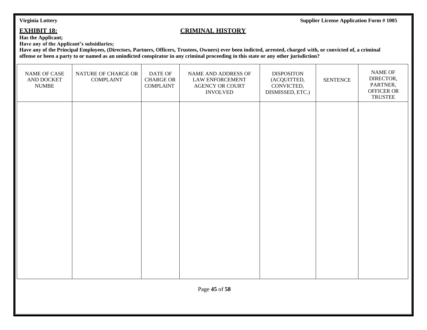### **EXHIBIT 18: CRIMINAL HISTORY**

**Has the Applicant;**

**Have any of the Applicant's subsidiaries;**

Have any of the Principal Employees, (Directors, Partners, Officers, Trustees, Owners) ever been indicted, arrested, charged with, or convicted of, a criminal **offense or been a party to or named as an unindicted conspirator in any criminal proceeding in this state or any other jurisdiction?**

| NAME OF CASE<br>AND DOCKET<br><b>NUMBE</b> | NATURE OF CHARGE OR<br><b>COMPLAINT</b> | DATE OF<br><b>CHARGE OR</b><br><b>COMPLAINT</b> | NAME AND ADDRESS OF<br><b>LAW ENFORCEMENT</b><br><b>AGENCY OR COURT</b><br><b>INVOLVED</b> | <b>DISPOSITON</b><br>(ACQUITTED,<br>CONVICTED,<br>DISMISSED, ETC.) | <b>SENTENCE</b> | <b>NAME OF</b><br>DIRECTOR,<br>PARTNER,<br>OFFICER OR<br><b>TRUSTEE</b> |  |  |
|--------------------------------------------|-----------------------------------------|-------------------------------------------------|--------------------------------------------------------------------------------------------|--------------------------------------------------------------------|-----------------|-------------------------------------------------------------------------|--|--|
|                                            |                                         |                                                 |                                                                                            |                                                                    |                 |                                                                         |  |  |
|                                            |                                         |                                                 |                                                                                            |                                                                    |                 |                                                                         |  |  |
|                                            |                                         |                                                 |                                                                                            |                                                                    |                 |                                                                         |  |  |
|                                            |                                         |                                                 |                                                                                            |                                                                    |                 |                                                                         |  |  |
|                                            |                                         |                                                 |                                                                                            |                                                                    |                 |                                                                         |  |  |
| Page 45 of 58                              |                                         |                                                 |                                                                                            |                                                                    |                 |                                                                         |  |  |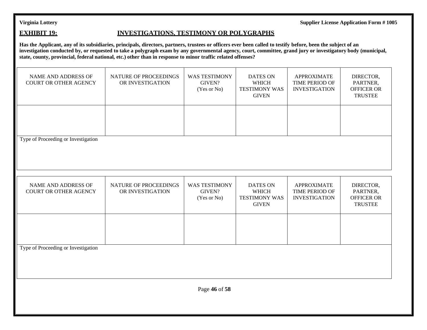### **EXHIBIT 19: INVESTIGATIONS, TESTIMONY OR POLYGRAPHS**

**Has the Applicant, any of its subsidiaries, principals, directors, partners, trustees or officers ever been called to testify before, been the subject of an**  investigation conducted by, or requested to take a polygraph exam by any governmental agency, court, committee, grand jury or investigatory body (municipal, **state, county, provincial, federal national, etc.) other than in response to minor traffic related offenses?**

| <b>NAME AND ADDRESS OF</b><br><b>COURT OR OTHER AGENCY</b> | NATURE OF PROCEEDINGS<br>OR INVESTIGATION | <b>WAS TESTIMONY</b><br>GIVEN?<br>(Yes or No) | <b>DATES ON</b><br><b>WHICH</b><br><b>TESTIMONY WAS</b><br><b>GIVEN</b> | <b>APPROXIMATE</b><br>TIME PERIOD OF<br><b>INVESTIGATION</b> | DIRECTOR,<br>PARTNER,<br><b>OFFICER OR</b><br><b>TRUSTEE</b> |  |  |  |  |
|------------------------------------------------------------|-------------------------------------------|-----------------------------------------------|-------------------------------------------------------------------------|--------------------------------------------------------------|--------------------------------------------------------------|--|--|--|--|
|                                                            |                                           |                                               |                                                                         |                                                              |                                                              |  |  |  |  |
| Type of Proceeding or Investigation                        |                                           |                                               |                                                                         |                                                              |                                                              |  |  |  |  |
| NAME AND ADDRESS OF<br>COURT OR OTHER AGENCY               | NATURE OF PROCEEDINGS<br>OR INVESTIGATION | <b>WAS TESTIMONY</b><br>GIVEN?<br>(Yes or No) | <b>DATES ON</b><br><b>WHICH</b><br><b>TESTIMONY WAS</b><br><b>GIVEN</b> | <b>APPROXIMATE</b><br>TIME PERIOD OF<br><b>INVESTIGATION</b> | DIRECTOR,<br>PARTNER,<br><b>OFFICER OR</b><br><b>TRUSTEE</b> |  |  |  |  |
|                                                            |                                           |                                               |                                                                         |                                                              |                                                              |  |  |  |  |
| Type of Proceeding or Investigation                        |                                           |                                               |                                                                         |                                                              |                                                              |  |  |  |  |
| Page 46 of 58                                              |                                           |                                               |                                                                         |                                                              |                                                              |  |  |  |  |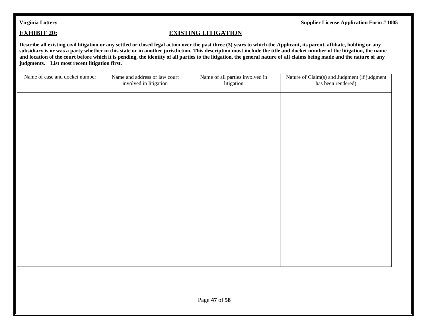### **EXHIBIT 20: EXISTING LITIGATION**

**Describe all existing civil litigation or any settled or closed legal action over the past three (3) years to which the Applicant, its parent, affiliate, holding or any subsidiary is or was a party whether in this state or in another jurisdiction. This description must include the title and docket number of the litigation, the name and location of the court before which it is pending, the identity of all parties to the litigation, the general nature of all claims being made and the nature of any judgments. List most recent litigation first.**

| Name of case and docket number | Name and address of law court<br>involved in litigation | Name of all parties involved in<br>litigation | Nature of Claim(s) and Judgment (if judgment<br>has been rendered) |
|--------------------------------|---------------------------------------------------------|-----------------------------------------------|--------------------------------------------------------------------|
|                                |                                                         |                                               |                                                                    |
|                                |                                                         |                                               |                                                                    |
|                                |                                                         |                                               |                                                                    |
|                                |                                                         |                                               |                                                                    |
|                                |                                                         |                                               |                                                                    |
|                                |                                                         |                                               |                                                                    |
|                                |                                                         |                                               |                                                                    |
|                                |                                                         |                                               |                                                                    |
|                                |                                                         |                                               |                                                                    |
|                                |                                                         |                                               |                                                                    |
|                                |                                                         |                                               |                                                                    |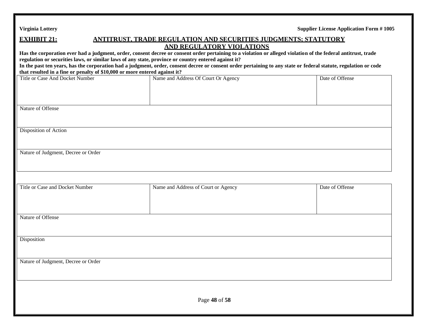### **EXHIBIT 21: ANTITRUST, TRADE REGULATION AND SECURITIES JUDGMENTS; STATUTORY AND REGULATORY VIOLATIONS**

| regulation or securities laws, or similar laws of any state, province or country entered against it?<br>that resulted in a fine or penalty of \$10,000 or more entered against it? | <u>AND REGULATURI VIOLATIONS</u><br>Has the corporation ever had a judgment, order, consent decree or consent order pertaining to a violation or alleged violation of the federal antitrust, trade<br>In the past ten years, has the corporation had a judgment, order, consent decree or consent order pertaining to any state or federal statute, regulation or code |                 |
|------------------------------------------------------------------------------------------------------------------------------------------------------------------------------------|------------------------------------------------------------------------------------------------------------------------------------------------------------------------------------------------------------------------------------------------------------------------------------------------------------------------------------------------------------------------|-----------------|
| <b>Title or Case And Docket Number</b>                                                                                                                                             | Name and Address Of Court Or Agency                                                                                                                                                                                                                                                                                                                                    | Date of Offense |
| Nature of Offense                                                                                                                                                                  |                                                                                                                                                                                                                                                                                                                                                                        |                 |
| Disposition of Action                                                                                                                                                              |                                                                                                                                                                                                                                                                                                                                                                        |                 |
| Nature of Judgment, Decree or Order                                                                                                                                                |                                                                                                                                                                                                                                                                                                                                                                        |                 |
| Title or Case and Docket Number                                                                                                                                                    | Name and Address of Court or Agency                                                                                                                                                                                                                                                                                                                                    | Date of Offense |
| Nature of Offense                                                                                                                                                                  |                                                                                                                                                                                                                                                                                                                                                                        |                 |
| Disposition                                                                                                                                                                        |                                                                                                                                                                                                                                                                                                                                                                        |                 |
| Nature of Judgment, Decree or Order                                                                                                                                                |                                                                                                                                                                                                                                                                                                                                                                        |                 |
|                                                                                                                                                                                    | Page 48 of 58                                                                                                                                                                                                                                                                                                                                                          |                 |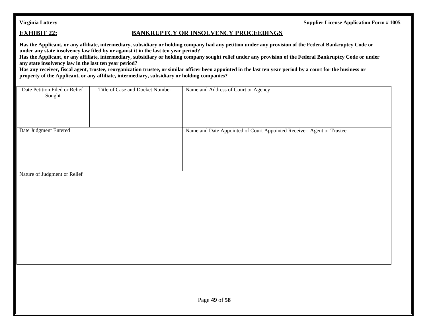### **EXHIBIT 22: BANKRUPTCY OR INSOLVENCY PROCEEDINGS**

**Has the Applicant, or any affiliate, intermediary, subsidiary or holding company had any petition under any provision of the Federal Bankruptcy Code or under any state insolvency law filed by or against it in the last ten year period?**

**Has the Applicant, or any affiliate, intermediary, subsidiary or holding company sought relief under any provision of the Federal Bankruptcy Code or under any state insolvency law in the last ten year period?**

**Has any receiver, fiscal agent, trustee, reorganization trustee, or similar officer been appointed in the last ten year period by a court for the business or property of the Applicant, or any affiliate, intermediary, subsidiary or holding companies?**

| Date Petition Filed or Relief<br>Sought | Title of Case and Docket Number | Name and Address of Court or Agency                                   |
|-----------------------------------------|---------------------------------|-----------------------------------------------------------------------|
| Date Judgment Entered                   |                                 | Name and Date Appointed of Court Appointed Receiver, Agent or Trustee |

Nature of Judgment or Relief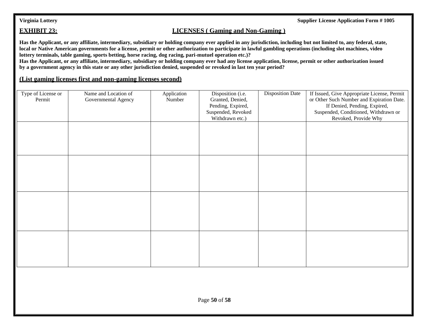### **EXHIBIT 23: LICENSES** ( Gaming and Non-Gaming )

**Has the Applicant, or any affiliate, intermediary, subsidiary or holding company ever applied in any jurisdiction, including but not limited to, any federal, state, local or Native American governments for a license, permit or other authorization to participate in lawful gambling operations (including slot machines, video lottery terminals, table gaming, sports betting, horse racing, dog racing, pari-mutuel operation etc.)?**

**Has the Applicant, or any affiliate, intermediary, subsidiary or holding company ever had any license application, license, permit or other authorization issued by a government agency in this state or any other jurisdiction denied, suspended or revoked in last ten year period?**

### **(List gaming licenses first and non-gaming licenses second)**

| Type of License or<br>Permit | Name and Location of<br>Governmental Agency | Application<br>Number | Disposition (i.e.<br>Granted, Denied,<br>Pending, Expired,<br>Suspended, Revoked<br>Withdrawn etc.) | <b>Disposition Date</b> | If Issued, Give Appropriate License, Permit<br>or Other Such Number and Expiration Date.<br>If Denied, Pending, Expired,<br>Suspended, Conditioned, Withdrawn or<br>Revoked, Provide Why |
|------------------------------|---------------------------------------------|-----------------------|-----------------------------------------------------------------------------------------------------|-------------------------|------------------------------------------------------------------------------------------------------------------------------------------------------------------------------------------|
|                              |                                             |                       |                                                                                                     |                         |                                                                                                                                                                                          |
|                              |                                             |                       |                                                                                                     |                         |                                                                                                                                                                                          |
|                              |                                             |                       |                                                                                                     |                         |                                                                                                                                                                                          |
|                              |                                             |                       |                                                                                                     |                         |                                                                                                                                                                                          |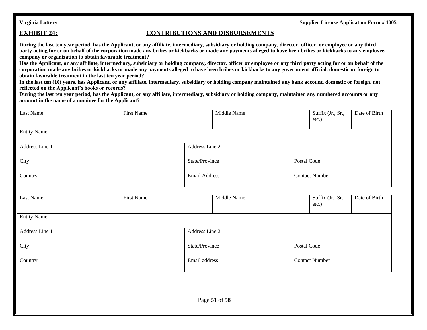### **EXHIBIT 24: CONTRIBUTIONS AND DISBURSEMENTS**

**During the last ten year period, has the Applicant, or any affiliate, intermediary, subsidiary or holding company, director, officer, or employee or any third party acting for or on behalf of the corporation made any bribes or kickbacks or made any payments alleged to have been bribes or kickbacks to any employee, company or organization to obtain favorable treatment?**

**Has the Applicant, or any affiliate, intermediary, subsidiary or holding company, director, officer or employee or any third party acting for or on behalf of the corporation made any bribes or kickbacks or made any payments alleged to have been bribes or kickbacks to any government official, domestic or foreign to obtain favorable treatment in the last ten year period?**

**In the last ten (10) years, has Applicant, or any affiliate, intermediary, subsidiary or holding company maintained any bank account, domestic or foreign, not reflected on the Applicant's books or records?**

**During the last ten year period, has the Applicant, or any affiliate, intermediary, subsidiary or holding company, maintained any numbered accounts or any account in the name of a nominee for the Applicant?**

| Last Name          | <b>First Name</b> |                      | Middle Name    |                       | Suffix (Jr., Sr.,<br>etc.) | Date of Birth |  |
|--------------------|-------------------|----------------------|----------------|-----------------------|----------------------------|---------------|--|
| <b>Entity Name</b> |                   |                      |                |                       |                            |               |  |
| Address Line 1     | Address Line 2    |                      |                |                       |                            |               |  |
| City               |                   |                      | State/Province | Postal Code           |                            |               |  |
| Country            |                   | <b>Email Address</b> |                | <b>Contact Number</b> |                            |               |  |
|                    |                   |                      |                |                       |                            |               |  |
| Last Name          | <b>First Name</b> |                      | Middle Name    |                       | Suffix (Jr., Sr.,<br>etc.) | Date of Birth |  |
| <b>Entity Name</b> |                   |                      |                |                       |                            |               |  |
| Address Line 1     |                   | Address Line 2       |                |                       |                            |               |  |
| City               |                   | State/Province       |                |                       | Postal Code                |               |  |
| Country            |                   | Email address        |                | <b>Contact Number</b> |                            |               |  |
|                    |                   |                      |                |                       |                            |               |  |
|                    |                   |                      |                |                       |                            |               |  |
|                    |                   |                      | Page 51 of 58  |                       |                            |               |  |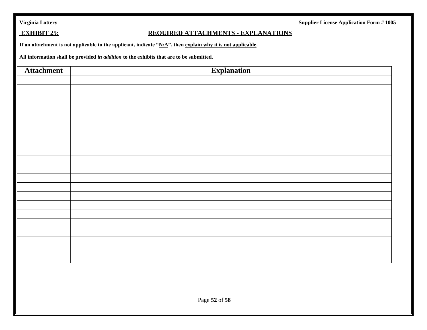|  |  | Virginia Lottery |  |
|--|--|------------------|--|
|  |  |                  |  |

**Supplier License Application Form # 1005** 

## **EXHIBIT 25: REQUIRED ATTACHMENTS - EXPLANATIONS**

**If an attachment is not applicable to the applicant, indicate "N/A", then explain why it is not applicable.**

**All information shall be provided** *in addition* **to the exhibits that are to be submitted.**

| $\parallel$<br><b>Attachment</b> | <b>Explanation</b> |
|----------------------------------|--------------------|
|                                  |                    |
|                                  |                    |
|                                  |                    |
|                                  |                    |
|                                  |                    |
|                                  |                    |
|                                  |                    |
|                                  |                    |
|                                  |                    |
|                                  |                    |
|                                  |                    |
|                                  |                    |
|                                  |                    |
|                                  |                    |
|                                  |                    |
|                                  |                    |
|                                  |                    |
|                                  |                    |
|                                  |                    |
|                                  |                    |
|                                  |                    |
|                                  |                    |
|                                  | Page 52 of 58      |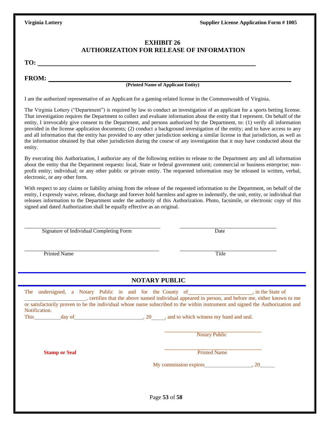### **EXHIBIT 26 AUTHORIZATION FOR RELEASE OF INFORMATION**

**TO:** 

**FROM:**

### **(Printed Name of Applicant Entity)**

I am the authorized representative of an Applicant for a gaming-related license in the Commonwealth of Virginia.

The Virginia Lottery ("Department") is required by law to conduct an investigation of an applicant for a sports betting license. That investigation requires the Department to collect and evaluate information about the entity that I represent. On behalf of the entity, I irrevocably give consent to the Department, and persons authorized by the Department, to: (1) verify all information provided in the license application documents; (2) conduct a background investigation of the entity; and to have access to any and all information that the entity has provided to any other jurisdiction seeking a similar license in that jurisdiction, as well as the information obtained by that other jurisdiction during the course of any investigation that it may have conducted about the entity.

By executing this Authorization, I authorize any of the following entities to release to the Department any and all information about the entity that the Department requests: local, State or federal government unit; commercial or business enterprise; nonprofit entity; individual; or any other public or private entity. The requested information may be released in written, verbal, electronic, or any other form.

With respect to any claims or liability arising from the release of the requested information to the Department, on behalf of the entity, I expressly waive, release, discharge and forever hold harmless and agree to indemnify, the unit, entity, or individual that releases information to the Department under the authority of this Authorization. Photo, facsimile, or electronic copy of this signed and dated Authorization shall be equally effective as an original.

Signature of Individual Completing Form Date

### Printed Name Title

### **NOTARY PUBLIC**

|             | The undersigned, a Notary Public in and for the County of |        |  |  |           |  | in the State of                                                                                                               |
|-------------|-----------------------------------------------------------|--------|--|--|-----------|--|-------------------------------------------------------------------------------------------------------------------------------|
|             |                                                           |        |  |  |           |  | , certifies that the above named individual appeared in person, and before me, either known to me                             |
|             |                                                           |        |  |  |           |  | or satisfactorily proven to be the individual whose name subscribed to the within instrument and signed the Authorization and |
|             | Notification.                                             |        |  |  |           |  |                                                                                                                               |
| <b>This</b> |                                                           | day of |  |  | <b>20</b> |  | , and to which witness my hand and seal.                                                                                      |

Notary Public

**Stamp or Seal** Printed Name

My commission expires 6.20

Page **53** of **58**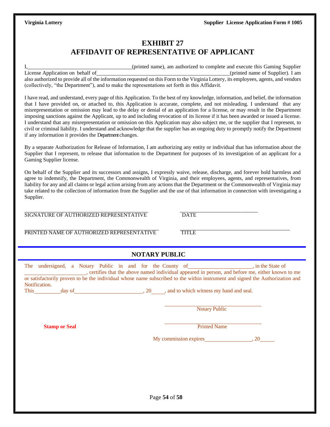## **EXHIBIT 27 AFFIDAVIT OF REPRESENTATIVE OF APPLICANT**

|                                                                                                | (printed name), am authorized to complete and execute this Gaming Supplier                                                           |
|------------------------------------------------------------------------------------------------|--------------------------------------------------------------------------------------------------------------------------------------|
| License Application on behalf of                                                               | (printed name of Supplier). I am                                                                                                     |
|                                                                                                | also authorized to provide all of the information requested on this Form to the Virginia Lottery, its employees, agents, and vendors |
| (collectively, "the Department"), and to make the representations set forth in this Affidavit. |                                                                                                                                      |

I have read, and understand, every page of this Application. To the best of my knowledge, information, and belief, the information that I have provided on, or attached to, this Application is accurate, complete, and not misleading. I understand that any misrepresentation or omission may lead to the delay or denial of an application for a license, or may result in the Department imposing sanctions against the Applicant, up to and including revocation of its license if it has been awarded or issued a license. I understand that any misrepresentation or omission on this Application may also subject me, or the supplier that I represent, to civil or criminal liability. I understand and acknowledge that the supplier has an ongoing duty to promptly notify the Department if any information it provides the Department changes.

By a separate Authorization for Release of Information, I am authorizing any entity or individual that has information about the Supplier that I represent, to release that information to the Department for purposes of its investigation of an applicant for a Gaming Supplier license.

On behalf of the Supplier and its successors and assigns, I expressly waive, release, discharge, and forever hold harmless and agree to indemnify, the Department, the Commonwealth of Virginia, and their employees, agents, and representatives, from liability for any and all claims or legal action arising from any actions that the Department or the Commonwealth of Virginia may take related to the collection of information from the Supplier and the use of that information in connection with investigating a Supplier.

SIGNATURE OF AUTHORIZED REPRESENTATIVE DATE

PRINTED NAME OF AUTHORIZED REPRESENTATIVE TITLE

| NOTARY PUBLIC |  |  |
|---------------|--|--|

| The undersigned, a Notary Public in and for the County of _________________, in the State of<br>, certifies that the above named individual appeared in person, and before me, either known to me<br>or satisfactorily proven to be the individual whose name subscribed to the within instrument and signed the Authorization and<br>Notification.<br>This day of day of and to which witness my hand and seal. |                            |  |
|------------------------------------------------------------------------------------------------------------------------------------------------------------------------------------------------------------------------------------------------------------------------------------------------------------------------------------------------------------------------------------------------------------------|----------------------------|--|
|                                                                                                                                                                                                                                                                                                                                                                                                                  | <b>Notary Public</b>       |  |
| <b>Stamp or Seal</b>                                                                                                                                                                                                                                                                                                                                                                                             | <b>Printed Name</b>        |  |
|                                                                                                                                                                                                                                                                                                                                                                                                                  | My commission expires 3.20 |  |
|                                                                                                                                                                                                                                                                                                                                                                                                                  |                            |  |
|                                                                                                                                                                                                                                                                                                                                                                                                                  |                            |  |
|                                                                                                                                                                                                                                                                                                                                                                                                                  | Page 54 of 58              |  |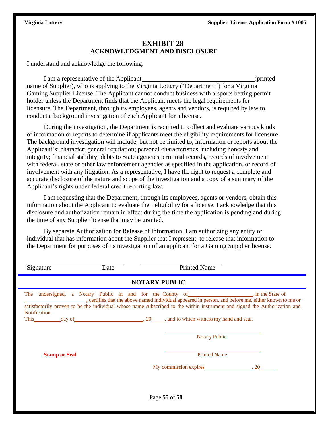### **EXHIBIT 28 ACKNOWLEDGMENT AND DISCLOSURE**

I understand and acknowledge the following:

I am a representative of the Applicant (printed name of Supplier), who is applying to the Virginia Lottery ("Department") for a Virginia Gaming Supplier License. The Applicant cannot conduct business with a sports betting permit holder unless the Department finds that the Applicant meets the legal requirements for licensure. The Department, through its employees, agents and vendors, is required by law to conduct a background investigation of each Applicant for a license.

During the investigation, the Department is required to collect and evaluate various kinds of information or reports to determine if applicants meet the eligibility requirements for licensure. The background investigation will include, but not be limited to, information or reports about the Applicant's: character; general reputation; personal characteristics, including honesty and integrity; financial stability; debts to State agencies; criminal records, records of involvement with federal, state or other law enforcement agencies as specified in the application, or record of involvement with any litigation. As a representative, I have the right to request a complete and accurate disclosure of the nature and scope of the investigation and a copy of a summary of the Applicant's rights under federal credit reporting law.

I am requesting that the Department, through its employees, agents or vendors, obtain this information about the Applicant to evaluate their eligibility for a license. I acknowledge that this disclosure and authorization remain in effect during the time the application is pending and during the time of any Supplier license that may be granted.

By separate Authorization for Release of Information, I am authorizing any entity or individual that has information about the Supplier that I represent, to release that information to the Department for purposes of its investigation of an applicant for a Gaming Supplier license.

| Signature            | Date | <b>Printed Name</b>                                                                                                                                                                                                                                                                                            |  |  |  |
|----------------------|------|----------------------------------------------------------------------------------------------------------------------------------------------------------------------------------------------------------------------------------------------------------------------------------------------------------------|--|--|--|
| <b>NOTARY PUBLIC</b> |      |                                                                                                                                                                                                                                                                                                                |  |  |  |
| The<br>Notification. |      | undersigned, a Notary Public in and for the County of help in the State of<br>certifies that the above named individual appeared in person, and before me, either known to me or<br>satisfactorily proven to be the individual whose name subscribed to the within instrument and signed the Authorization and |  |  |  |
|                      |      | This day of day of day $\frac{1}{20}$ , 20 and to which witness my hand and seal.<br><b>Notary Public</b>                                                                                                                                                                                                      |  |  |  |
| <b>Stamp or Seal</b> |      | <b>Printed Name</b>                                                                                                                                                                                                                                                                                            |  |  |  |
|                      |      | My commission expires 3.20                                                                                                                                                                                                                                                                                     |  |  |  |
|                      |      |                                                                                                                                                                                                                                                                                                                |  |  |  |
|                      |      | Page 55 of 58                                                                                                                                                                                                                                                                                                  |  |  |  |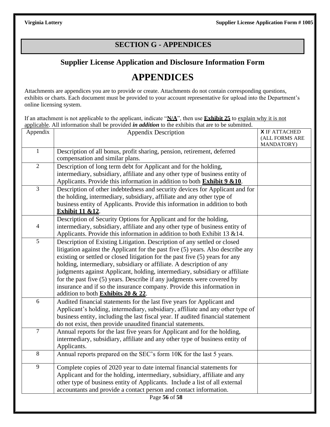## **SECTION G - APPENDICES**

## **Supplier License Application and Disclosure Information Form**

## **APPENDICES**

Attachments are appendices you are to provide or create. Attachments do not contain corresponding questions, exhibits or charts. Each document must be provided to your account representative for upload into the Department's online licensing system.

If an attachment is not applicable to the applicant, indicate "**N/A**", then use **Exhibit 25** to explain why it is not applicable. All information shall be provided *in addition* to the exhibits that are to be submitted.

| Appendix       | <b>Appendix Description</b>                                                                                                                               | <b>X</b> IF ATTACHED<br>(ALL FORMS ARE<br>MANDATORY) |
|----------------|-----------------------------------------------------------------------------------------------------------------------------------------------------------|------------------------------------------------------|
| $\mathbf{1}$   | Description of all bonus, profit sharing, pension, retirement, deferred<br>compensation and similar plans.                                                |                                                      |
| $\overline{2}$ | Description of long term debt for Applicant and for the holding,                                                                                          |                                                      |
|                | intermediary, subsidiary, affiliate and any other type of business entity of                                                                              |                                                      |
|                | Applicants. Provide this information in addition to both <b>Exhibit 9 &amp;10</b> .                                                                       |                                                      |
| $\overline{3}$ | Description of other indebtedness and security devices for Applicant and for                                                                              |                                                      |
|                | the holding, intermediary, subsidiary, affiliate and any other type of                                                                                    |                                                      |
|                | business entity of Applicants. Provide this information in addition to both<br><b>Exhibit 11 &amp;12.</b>                                                 |                                                      |
|                | Description of Security Options for Applicant and for the holding,                                                                                        |                                                      |
| $\overline{4}$ | intermediary, subsidiary, affiliate and any other type of business entity of<br>Applicants. Provide this information in addition to both Exhibit 13 & 14. |                                                      |
| 5              | Description of Existing Litigation. Description of any settled or closed                                                                                  |                                                      |
|                | litigation against the Applicant for the past five (5) years. Also describe any                                                                           |                                                      |
|                | existing or settled or closed litigation for the past five (5) years for any                                                                              |                                                      |
|                | holding, intermediary, subsidiary or affiliate. A description of any                                                                                      |                                                      |
|                | judgments against Applicant, holding, intermediary, subsidiary or affiliate                                                                               |                                                      |
|                | for the past five $(5)$ years. Describe if any judgments were covered by                                                                                  |                                                      |
|                | insurance and if so the insurance company. Provide this information in                                                                                    |                                                      |
|                | addition to both Exhibits 20 & 22.                                                                                                                        |                                                      |
| 6              | Audited financial statements for the last five years for Applicant and                                                                                    |                                                      |
|                | Applicant's holding, intermediary, subsidiary, affiliate and any other type of                                                                            |                                                      |
|                | business entity, including the last fiscal year. If audited financial statement                                                                           |                                                      |
|                | do not exist, then provide unaudited financial statements.                                                                                                |                                                      |
| $\overline{7}$ | Annual reports for the last five years for Applicant and for the holding,                                                                                 |                                                      |
|                | intermediary, subsidiary, affiliate and any other type of business entity of                                                                              |                                                      |
|                | Applicants.                                                                                                                                               |                                                      |
| 8              | Annual reports prepared on the SEC's form 10K for the last 5 years.                                                                                       |                                                      |
| 9              | Complete copies of 2020 year to date internal financial statements for                                                                                    |                                                      |
|                | Applicant and for the holding, intermediary, subsidiary, affiliate and any                                                                                |                                                      |
|                | other type of business entity of Applicants. Include a list of all external                                                                               |                                                      |
|                | accountants and provide a contact person and contact information.                                                                                         |                                                      |
|                | Page 56 of 58                                                                                                                                             |                                                      |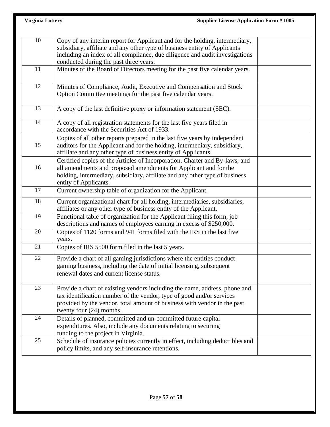| <b>Virginia Lottery</b> | <b>Supplier License Application Form #1005</b>                                                                                                                                                                                                                                     |  |
|-------------------------|------------------------------------------------------------------------------------------------------------------------------------------------------------------------------------------------------------------------------------------------------------------------------------|--|
|                         |                                                                                                                                                                                                                                                                                    |  |
| 10                      | Copy of any interim report for Applicant and for the holding, intermediary,<br>subsidiary, affiliate and any other type of business entity of Applicants<br>including an index of all compliance, due diligence and audit investigations<br>conducted during the past three years. |  |
| 11                      | Minutes of the Board of Directors meeting for the past five calendar years.                                                                                                                                                                                                        |  |
| 12                      | Minutes of Compliance, Audit, Executive and Compensation and Stock<br>Option Committee meetings for the past five calendar years.                                                                                                                                                  |  |
| 13                      | A copy of the last definitive proxy or information statement (SEC).                                                                                                                                                                                                                |  |
| 14                      | A copy of all registration statements for the last five years filed in<br>accordance with the Securities Act of 1933.                                                                                                                                                              |  |
| 15                      | Copies of all other reports prepared in the last five years by independent<br>auditors for the Applicant and for the holding, intermediary, subsidiary,<br>affiliate and any other type of business entity of Applicants.                                                          |  |
| 16                      | Certified copies of the Articles of Incorporation, Charter and By-laws, and<br>all amendments and proposed amendments for Applicant and for the<br>holding, intermediary, subsidiary, affiliate and any other type of business<br>entity of Applicants.                            |  |
| 17                      | Current ownership table of organization for the Applicant.                                                                                                                                                                                                                         |  |
| 18                      | Current organizational chart for all holding, intermediaries, subsidiaries,<br>affiliates or any other type of business entity of the Applicant.                                                                                                                                   |  |
| 19                      | Functional table of organization for the Applicant filing this form, job<br>descriptions and names of employees earning in excess of \$250,000.                                                                                                                                    |  |
| 20                      | Copies of 1120 forms and 941 forms filed with the IRS in the last five<br>years.                                                                                                                                                                                                   |  |
| 21                      | Copies of IRS 5500 form filed in the last 5 years.                                                                                                                                                                                                                                 |  |
| 22                      | Provide a chart of all gaming jurisdictions where the entities conduct<br>gaming business, including the date of initial licensing, subsequent<br>renewal dates and current license status.                                                                                        |  |
| 23                      | Provide a chart of existing vendors including the name, address, phone and<br>tax identification number of the vendor, type of good and/or services<br>provided by the vendor, total amount of business with vendor in the past<br>twenty four $(24)$ months.                      |  |
| 24                      | Details of planned, committed and un-committed future capital<br>expenditures. Also, include any documents relating to securing<br>funding to the project in Virginia.                                                                                                             |  |
| 25                      | Schedule of insurance policies currently in effect, including deductibles and<br>policy limits, and any self-insurance retentions.                                                                                                                                                 |  |